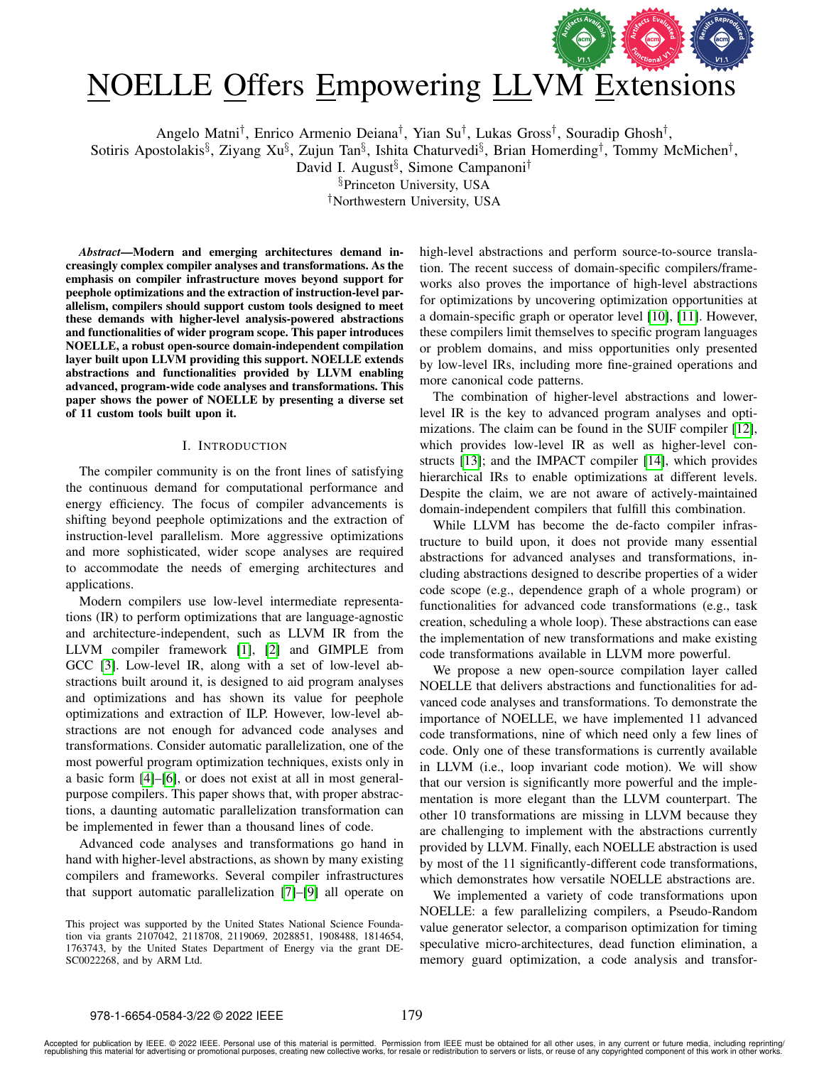

# NOELLE Offers Empowering LL[VM Extensions](https://www.acm.org/publications/policies/artifact-review-and-badging-current)

Angelo Matni† , Enrico Armenio Deiana† , Yian Su† , Lukas Gross† , Souradip Ghosh† ,

Sotiris Apostolakis<sup>§</sup>, Ziyang Xu<sup>§</sup>, Zujun Tan<sup>§</sup>, Ishita Chaturvedi<sup>§</sup>, Brian Homerding<sup>†</sup>, Tommy McMichen<sup>†</sup>,

David I. August<sup>§</sup>, Simone Campanoni<sup>†</sup>

§Princeton University, USA

†Northwestern University, USA

*Abstract*—Modern and emerging architectures demand increasingly complex compiler analyses and transformations. As the emphasis on compiler infrastructure moves beyond support for peephole optimizations and the extraction of instruction-level parallelism, compilers should support custom tools designed to meet these demands with higher-level analysis-powered abstractions and functionalities of wider program scope. This paper introduces NOELLE, a robust open-source domain-independent compilation layer built upon LLVM providing this support. NOELLE extends abstractions and functionalities provided by LLVM enabling advanced, program-wide code analyses and transformations. This paper shows the power of NOELLE by presenting a diverse set of 11 custom tools built upon it.

#### I. INTRODUCTION

The compiler community is on the front lines of satisfying the continuous demand for computational performance and energy efficiency. The focus of compiler advancements is shifting beyond peephole optimizations and the extraction of instruction-level parallelism. More aggressive optimizations and more sophisticated, wider scope analyses are required to accommodate the needs of emerging architectures and applications.

Modern compilers use low-level intermediate representations (IR) to perform optimizations that are language-agnostic and architecture-independent, such as LLVM IR from the LLVM compiler framework [\[1\]](#page-12-0), [\[2\]](#page-12-1) and GIMPLE from GCC [\[3\]](#page-12-2). Low-level IR, along with a set of low-level abstractions built around it, is designed to aid program analyses and optimizations and has shown its value for peephole optimizations and extraction of ILP. However, low-level abstractions are not enough for advanced code analyses and transformations. Consider automatic parallelization, one of the most powerful program optimization techniques, exists only in a basic form [\[4\]](#page-12-3)–[\[6\]](#page-12-4), or does not exist at all in most generalpurpose compilers. This paper shows that, with proper abstractions, a daunting automatic parallelization transformation can be implemented in fewer than a thousand lines of code.

Advanced code analyses and transformations go hand in hand with higher-level abstractions, as shown by many existing compilers and frameworks. Several compiler infrastructures that support automatic parallelization [\[7\]](#page-12-5)–[\[9\]](#page-12-6) all operate on high-level abstractions and perform source-to-source translation. The recent success of domain-specific compilers/frameworks also proves the importance of high-level abstractions for optimizations by uncovering optimization opportunities at a domain-specific graph or operator level [\[10\]](#page-12-7), [\[11\]](#page-12-8). However, these compilers limit themselves to specific program languages or problem domains, and miss opportunities only presented by low-level IRs, including more fine-grained operations and more canonical code patterns.

The combination of higher-level abstractions and lowerlevel IR is the key to advanced program analyses and optimizations. The claim can be found in the SUIF compiler [\[12\]](#page-12-9), which provides low-level IR as well as higher-level constructs [\[13\]](#page-12-10); and the IMPACT compiler [\[14\]](#page-12-11), which provides hierarchical IRs to enable optimizations at different levels. Despite the claim, we are not aware of actively-maintained domain-independent compilers that fulfill this combination.

While LLVM has become the de-facto compiler infrastructure to build upon, it does not provide many essential abstractions for advanced analyses and transformations, including abstractions designed to describe properties of a wider code scope (e.g., dependence graph of a whole program) or functionalities for advanced code transformations (e.g., task creation, scheduling a whole loop). These abstractions can ease the implementation of new transformations and make existing code transformations available in LLVM more powerful.

We propose a new open-source compilation layer called NOELLE that delivers abstractions and functionalities for advanced code analyses and transformations. To demonstrate the importance of NOELLE, we have implemented 11 advanced code transformations, nine of which need only a few lines of code. Only one of these transformations is currently available in LLVM (i.e., loop invariant code motion). We will show that our version is significantly more powerful and the implementation is more elegant than the LLVM counterpart. The other 10 transformations are missing in LLVM because they are challenging to implement with the abstractions currently provided by LLVM. Finally, each NOELLE abstraction is used by most of the 11 significantly-different code transformations, which demonstrates how versatile NOELLE abstractions are.

We implemented a variety of code transformations upon NOELLE: a few parallelizing compilers, a Pseudo-Random value generator selector, a comparison optimization for timing speculative micro-architectures, dead function elimination, a memory guard optimization, a code analysis and transfor-

This project was supported by the United States National Science Foundation via grants 2107042, 2118708, 2119069, 2028851, 1908488, 1814654, 1763743, by the United States Department of Energy via the grant DE-SC0022268, and by ARM Ltd.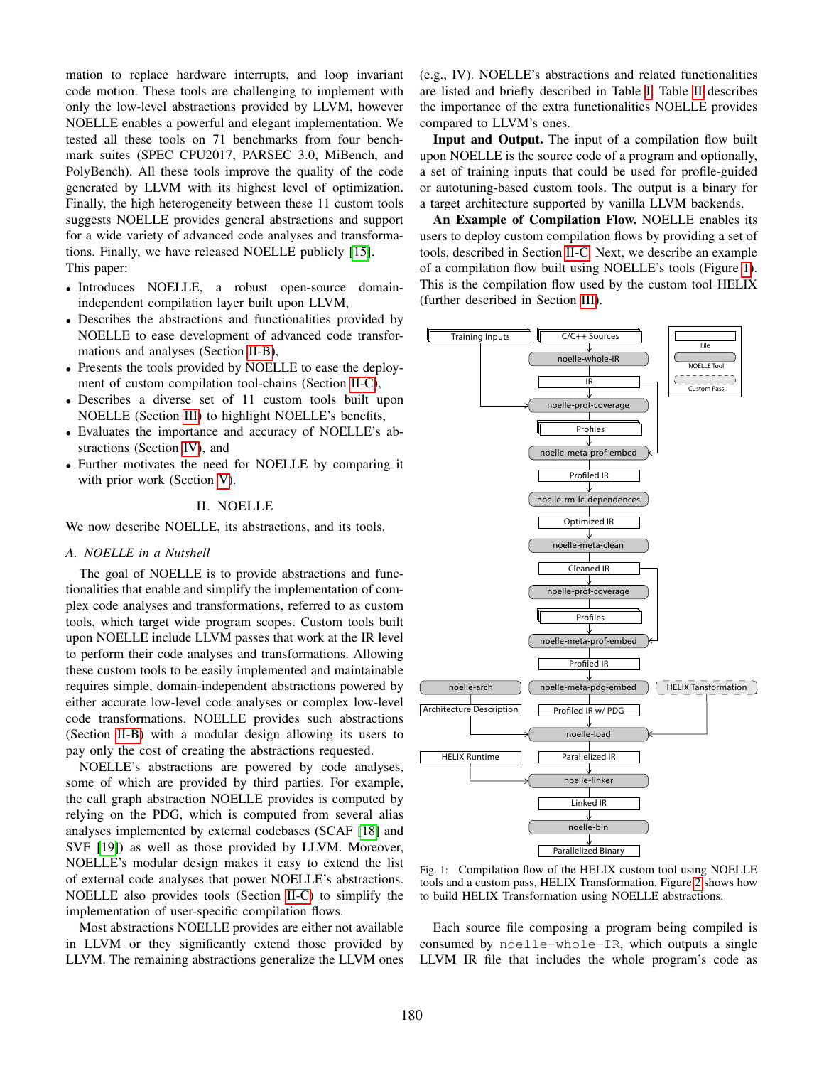mation to replace hardware interrupts, and loop invariant code motion. These tools are challenging to implement with only the low-level abstractions provided by LLVM, however NOELLE enables a powerful and elegant implementation. We tested all these tools on 71 benchmarks from four benchmark suites (SPEC CPU2017, PARSEC 3.0, MiBench, and PolyBench). All these tools improve the quality of the code generated by LLVM with its highest level of optimization. Finally, the high heterogeneity between these 11 custom tools suggests NOELLE provides general abstractions and support for a wide variety of advanced code analyses and transformations. Finally, we have released NOELLE publicly [\[15\]](#page-12-12). This paper:

- Introduces NOELLE, a robust open-source domainindependent compilation layer built upon LLVM,
- Describes the abstractions and functionalities provided by NOELLE to ease development of advanced code transformations and analyses (Section [II-B\)](#page-2-0),
- Presents the tools provided by NOELLE to ease the deployment of custom compilation tool-chains (Section [II-C\)](#page-6-0),
- Describes a diverse set of 11 custom tools built upon NOELLE (Section [III\)](#page-7-0) to highlight NOELLE's benefits,
- Evaluates the importance and accuracy of NOELLE's abstractions (Section [IV\)](#page-8-0), and
- Further motivates the need for NOELLE by comparing it with prior work (Section [V\)](#page-10-0).

## II. NOELLE

We now describe NOELLE, its abstractions, and its tools.

## *A. NOELLE in a Nutshell*

The goal of NOELLE is to provide abstractions and functionalities that enable and simplify the implementation of complex code analyses and transformations, referred to as custom tools, which target wide program scopes. Custom tools built upon NOELLE include LLVM passes that work at the IR level to perform their code analyses and transformations. Allowing these custom tools to be easily implemented and maintainable requires simple, domain-independent abstractions powered by either accurate low-level code analyses or complex low-level code transformations. NOELLE provides such abstractions (Section [II-B\)](#page-2-0) with a modular design allowing its users to pay only the cost of creating the abstractions requested.

NOELLE's abstractions are powered by code analyses, some of which are provided by third parties. For example, the call graph abstraction NOELLE provides is computed by relying on the PDG, which is computed from several alias analyses implemented by external codebases (SCAF [\[18\]](#page-12-13) and SVF [\[19\]](#page-12-14)) as well as those provided by LLVM. Moreover, NOELLE's modular design makes it easy to extend the list of external code analyses that power NOELLE's abstractions. NOELLE also provides tools (Section [II-C\)](#page-6-0) to simplify the implementation of user-specific compilation flows.

Most abstractions NOELLE provides are either not available in LLVM or they significantly extend those provided by LLVM. The remaining abstractions generalize the LLVM ones (e.g., IV). NOELLE's abstractions and related functionalities are listed and briefly described in Table [I.](#page-2-1) Table [II](#page-3-0) describes the importance of the extra functionalities NOELLE provides compared to LLVM's ones.

Input and Output. The input of a compilation flow built upon NOELLE is the source code of a program and optionally, a set of training inputs that could be used for profile-guided or autotuning-based custom tools. The output is a binary for a target architecture supported by vanilla LLVM backends.

An Example of Compilation Flow. NOELLE enables its users to deploy custom compilation flows by providing a set of tools, described in Section [II-C.](#page-6-0) Next, we describe an example of a compilation flow built using NOELLE's tools (Figure [1\)](#page-1-0). This is the compilation flow used by the custom tool HELIX (further described in Section [III\)](#page-7-0).

<span id="page-1-0"></span>

Fig. 1: Compilation flow of the HELIX custom tool using NOELLE tools and a custom pass, HELIX Transformation. Figure [2](#page-3-1) shows how to build HELIX Transformation using NOELLE abstractions.

Each source file composing a program being compiled is consumed by noelle-whole-IR, which outputs a single LLVM IR file that includes the whole program's code as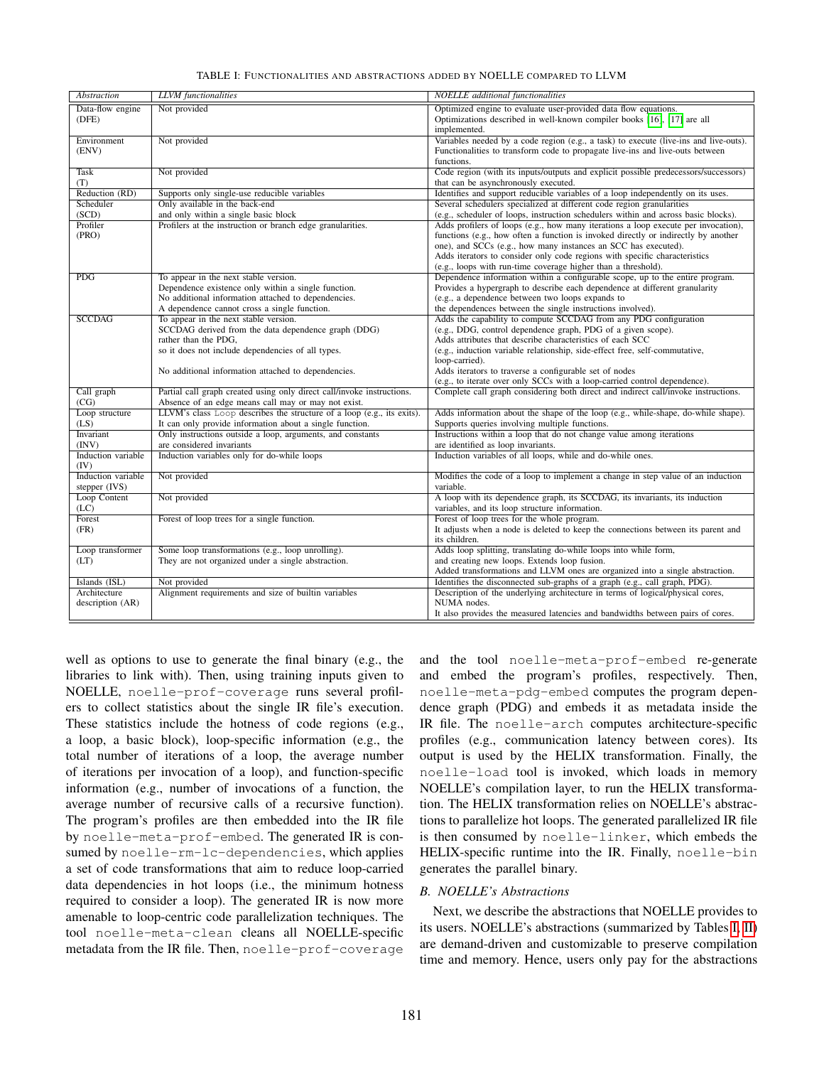<span id="page-2-1"></span>

| <b>Abstraction</b> | <b>LLVM</b> functionalities                                                           | <b>NOELLE</b> additional functionalities                                                                       |
|--------------------|---------------------------------------------------------------------------------------|----------------------------------------------------------------------------------------------------------------|
| Data-flow engine   | Not provided                                                                          | Optimized engine to evaluate user-provided data flow equations.                                                |
| (DFE)              |                                                                                       | Optimizations described in well-known compiler books [16], [17] are all                                        |
|                    |                                                                                       | implemented.                                                                                                   |
| Environment        | Not provided                                                                          | Variables needed by a code region (e.g., a task) to execute (live-ins and live-outs).                          |
| (ENV)              |                                                                                       | Functionalities to transform code to propagate live-ins and live-outs between                                  |
|                    |                                                                                       | functions.                                                                                                     |
| <b>Task</b>        | Not provided                                                                          | Code region (with its inputs/outputs and explicit possible predecessors/successors)                            |
| (T)                |                                                                                       | that can be asynchronously executed.                                                                           |
| Reduction (RD)     | Supports only single-use reducible variables                                          | Identifies and support reducible variables of a loop independently on its uses.                                |
| Scheduler          | Only available in the back-end                                                        | Several schedulers specialized at different code region granularities                                          |
| (SCD)              | and only within a single basic block                                                  | (e.g., scheduler of loops, instruction schedulers within and across basic blocks).                             |
| Profiler           | Profilers at the instruction or branch edge granularities.                            | Adds profilers of loops (e.g., how many iterations a loop execute per invocation),                             |
| (PRO)              |                                                                                       | functions (e.g., how often a function is invoked directly or indirectly by another                             |
|                    |                                                                                       | one), and SCCs (e.g., how many instances an SCC has executed).                                                 |
|                    |                                                                                       | Adds iterators to consider only code regions with specific characteristics                                     |
|                    |                                                                                       | (e.g., loops with run-time coverage higher than a threshold).                                                  |
| PDG                | To appear in the next stable version.                                                 | Dependence information within a configurable scope, up to the entire program.                                  |
|                    | Dependence existence only within a single function.                                   | Provides a hypergraph to describe each dependence at different granularity                                     |
|                    | No additional information attached to dependencies.                                   | (e.g., a dependence between two loops expands to<br>the dependences between the single instructions involved). |
| <b>SCCDAG</b>      | A dependence cannot cross a single function.<br>To appear in the next stable version. | Adds the capability to compute SCCDAG from any PDG configuration                                               |
|                    | SCCDAG derived from the data dependence graph (DDG)                                   | (e.g., DDG, control dependence graph, PDG of a given scope).                                                   |
|                    | rather than the PDG,                                                                  | Adds attributes that describe characteristics of each SCC                                                      |
|                    | so it does not include dependencies of all types.                                     | (e.g., induction variable relationship, side-effect free, self-commutative,                                    |
|                    |                                                                                       | loop-carried).                                                                                                 |
|                    | No additional information attached to dependencies.                                   | Adds iterators to traverse a configurable set of nodes                                                         |
|                    |                                                                                       | (e.g., to iterate over only SCCs with a loop-carried control dependence).                                      |
| Call graph         | Partial call graph created using only direct call/invoke instructions.                | Complete call graph considering both direct and indirect call/invoke instructions.                             |
| (CG)               | Absence of an edge means call may or may not exist.                                   |                                                                                                                |
| Loop structure     | LLVM's class Loop describes the structure of a loop (e.g., its exits).                | Adds information about the shape of the loop (e.g., while-shape, do-while shape).                              |
| (LS)               | It can only provide information about a single function.                              | Supports queries involving multiple functions.                                                                 |
| Invariant          | Only instructions outside a loop, arguments, and constants                            | Instructions within a loop that do not change value among iterations                                           |
| (INV)              | are considered invariants                                                             | are identified as loop invariants.                                                                             |
| Induction variable | Induction variables only for do-while loops                                           | Induction variables of all loops, while and do-while ones.                                                     |
| (IV)               |                                                                                       |                                                                                                                |
| Induction variable | Not provided                                                                          | Modifies the code of a loop to implement a change in step value of an induction                                |
| stepper (IVS)      |                                                                                       | variable.                                                                                                      |
| Loop Content       | Not provided                                                                          | A loop with its dependence graph, its SCCDAG, its invariants, its induction                                    |
| (LC)<br>Forest     | Forest of loop trees for a single function.                                           | variables, and its loop structure information.<br>Forest of loop trees for the whole program.                  |
| (FR)               |                                                                                       | It adjusts when a node is deleted to keep the connections between its parent and                               |
|                    |                                                                                       | its children.                                                                                                  |
| Loop transformer   | Some loop transformations (e.g., loop unrolling).                                     | Adds loop splitting, translating do-while loops into while form,                                               |
| (LT)               | They are not organized under a single abstraction.                                    | and creating new loops. Extends loop fusion.                                                                   |
|                    |                                                                                       | Added transformations and LLVM ones are organized into a single abstraction.                                   |
| Islands (ISL)      | Not provided                                                                          | Identifies the disconnected sub-graphs of a graph (e.g., call graph, PDG).                                     |
| Architecture       | Alignment requirements and size of builtin variables                                  | Description of the underlying architecture in terms of logical/physical cores,                                 |
| description (AR)   |                                                                                       | NUMA nodes.                                                                                                    |
|                    |                                                                                       | It also provides the measured latencies and bandwidths between pairs of cores.                                 |
|                    |                                                                                       |                                                                                                                |

## TABLE I: FUNCTIONALITIES AND ABSTRACTIONS ADDED BY NOELLE COMPARED TO LLVM

well as options to use to generate the final binary (e.g., the libraries to link with). Then, using training inputs given to NOELLE, noelle-prof-coverage runs several profilers to collect statistics about the single IR file's execution. These statistics include the hotness of code regions (e.g., a loop, a basic block), loop-specific information (e.g., the total number of iterations of a loop, the average number of iterations per invocation of a loop), and function-specific information (e.g., number of invocations of a function, the average number of recursive calls of a recursive function). The program's profiles are then embedded into the IR file by noelle-meta-prof-embed. The generated IR is consumed by noelle-rm-lc-dependencies, which applies a set of code transformations that aim to reduce loop-carried data dependencies in hot loops (i.e., the minimum hotness required to consider a loop). The generated IR is now more amenable to loop-centric code parallelization techniques. The tool noelle-meta-clean cleans all NOELLE-specific metadata from the IR file. Then, noelle-prof-coverage

and the tool noelle-meta-prof-embed re-generate and embed the program's profiles, respectively. Then, noelle-meta-pdg-embed computes the program dependence graph (PDG) and embeds it as metadata inside the IR file. The noelle-arch computes architecture-specific profiles (e.g., communication latency between cores). Its output is used by the HELIX transformation. Finally, the noelle-load tool is invoked, which loads in memory NOELLE's compilation layer, to run the HELIX transformation. The HELIX transformation relies on NOELLE's abstractions to parallelize hot loops. The generated parallelized IR file is then consumed by noelle-linker, which embeds the HELIX-specific runtime into the IR. Finally, noelle-bin generates the parallel binary.

# <span id="page-2-0"></span>*B. NOELLE's Abstractions*

Next, we describe the abstractions that NOELLE provides to its users. NOELLE's abstractions (summarized by Tables [I,](#page-2-1) [II\)](#page-3-0) are demand-driven and customizable to preserve compilation time and memory. Hence, users only pay for the abstractions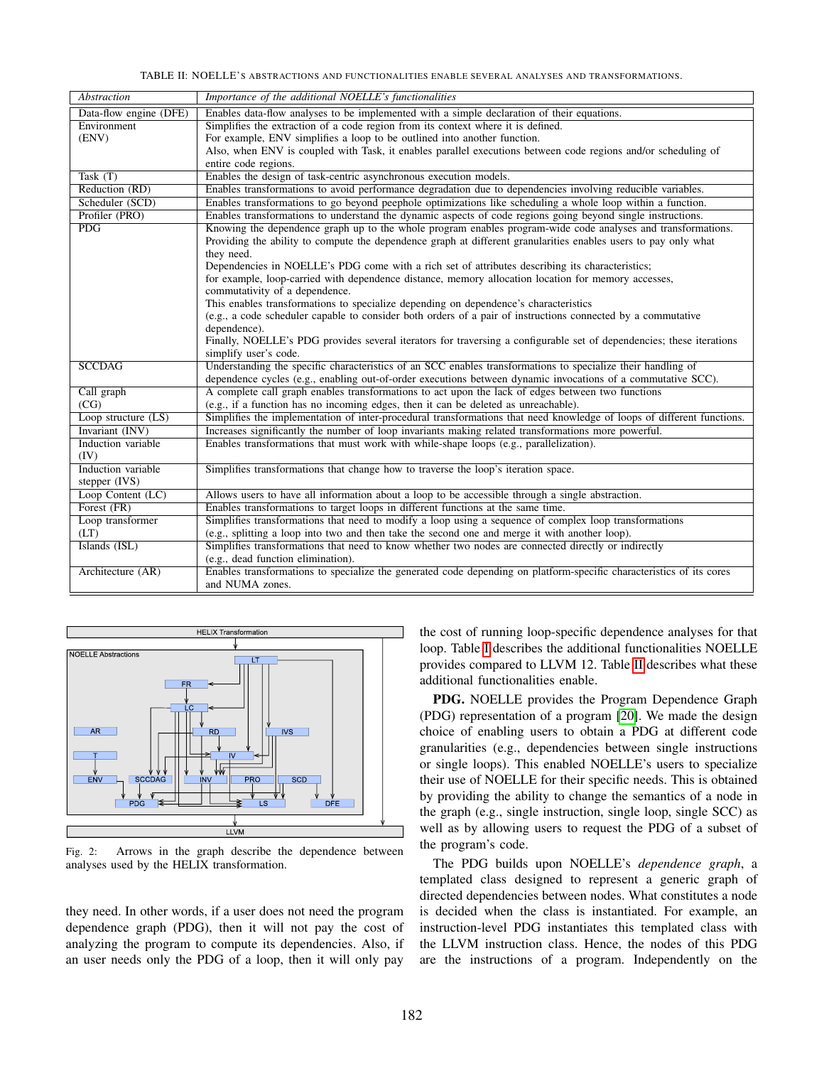TABLE II: NOELLE'S ABSTRACTIONS AND FUNCTIONALITIES ENABLE SEVERAL ANALYSES AND TRANSFORMATIONS.

<span id="page-3-0"></span>

| Abstraction                      | Importance of the additional NOELLE's functionalities                                                                                                                                                    |
|----------------------------------|----------------------------------------------------------------------------------------------------------------------------------------------------------------------------------------------------------|
| Data-flow engine (DFE)           | Enables data-flow analyses to be implemented with a simple declaration of their equations.                                                                                                               |
| Environment                      | Simplifies the extraction of a code region from its context where it is defined.                                                                                                                         |
| (ENV)                            | For example, ENV simplifies a loop to be outlined into another function.                                                                                                                                 |
|                                  | Also, when ENV is coupled with Task, it enables parallel executions between code regions and/or scheduling of                                                                                            |
|                                  | entire code regions.                                                                                                                                                                                     |
| Task $(T)$                       | Enables the design of task-centric asynchronous execution models.                                                                                                                                        |
| Reduction (RD)                   | Enables transformations to avoid performance degradation due to dependencies involving reducible variables.                                                                                              |
| Scheduler (SCD)                  | Enables transformations to go beyond peephole optimizations like scheduling a whole loop within a function.                                                                                              |
| Profiler (PRO)                   | Enables transformations to understand the dynamic aspects of code regions going beyond single instructions.                                                                                              |
| PDG                              | Knowing the dependence graph up to the whole program enables program-wide code analyses and transformations.                                                                                             |
|                                  | Providing the ability to compute the dependence graph at different granularities enables users to pay only what                                                                                          |
|                                  | they need.                                                                                                                                                                                               |
|                                  | Dependencies in NOELLE's PDG come with a rich set of attributes describing its characteristics;                                                                                                          |
|                                  | for example, loop-carried with dependence distance, memory allocation location for memory accesses,                                                                                                      |
|                                  | commutativity of a dependence.                                                                                                                                                                           |
|                                  | This enables transformations to specialize depending on dependence's characteristics                                                                                                                     |
|                                  | (e.g., a code scheduler capable to consider both orders of a pair of instructions connected by a commutative                                                                                             |
|                                  | dependence).                                                                                                                                                                                             |
|                                  | Finally, NOELLE's PDG provides several iterators for traversing a configurable set of dependencies; these iterations                                                                                     |
|                                  | simplify user's code.                                                                                                                                                                                    |
| <b>SCCDAG</b>                    | Understanding the specific characteristics of an SCC enables transformations to specialize their handling of                                                                                             |
|                                  | dependence cycles (e.g., enabling out-of-order executions between dynamic invocations of a commutative SCC).                                                                                             |
| Call graph<br>(CG)               | A complete call graph enables transformations to act upon the lack of edges between two functions                                                                                                        |
|                                  | (e.g., if a function has no incoming edges, then it can be deleted as unreachable).                                                                                                                      |
| Loop structure (LS)              | Simplifies the implementation of inter-procedural transformations that need knowledge of loops of different functions.                                                                                   |
| Invariant (INV)                  | Increases significantly the number of loop invariants making related transformations more powerful.                                                                                                      |
| Induction variable               | Enables transformations that must work with while-shape loops (e.g., parallelization).                                                                                                                   |
| (IV)<br>Induction variable       |                                                                                                                                                                                                          |
|                                  | Simplifies transformations that change how to traverse the loop's iteration space.                                                                                                                       |
| stepper (IVS)                    | Allows users to have all information about a loop to be accessible through a single abstraction.                                                                                                         |
| Loop Content (LC)<br>Forest (FR) | Enables transformations to target loops in different functions at the same time.                                                                                                                         |
|                                  |                                                                                                                                                                                                          |
| Loop transformer<br>(LT)         | Simplifies transformations that need to modify a loop using a sequence of complex loop transformations<br>(e.g., splitting a loop into two and then take the second one and merge it with another loop). |
| Islands (ISL)                    | Simplifies transformations that need to know whether two nodes are connected directly or indirectly                                                                                                      |
|                                  | (e.g., dead function elimination).                                                                                                                                                                       |
| Architecture (AR)                | Enables transformations to specialize the generated code depending on platform-specific characteristics of its cores                                                                                     |
|                                  | and NUMA zones.                                                                                                                                                                                          |
|                                  |                                                                                                                                                                                                          |

<span id="page-3-1"></span>

Fig. 2: Arrows in the graph describe the dependence between analyses used by the HELIX transformation.

they need. In other words, if a user does not need the program dependence graph (PDG), then it will not pay the cost of analyzing the program to compute its dependencies. Also, if an user needs only the PDG of a loop, then it will only pay

the cost of running loop-specific dependence analyses for that loop. Table [I](#page-2-1) describes the additional functionalities NOELLE provides compared to LLVM 12. Table [II](#page-3-0) describes what these additional functionalities enable.

PDG. NOELLE provides the Program Dependence Graph (PDG) representation of a program [\[20\]](#page-12-17). We made the design choice of enabling users to obtain a PDG at different code granularities (e.g., dependencies between single instructions or single loops). This enabled NOELLE's users to specialize their use of NOELLE for their specific needs. This is obtained by providing the ability to change the semantics of a node in the graph (e.g., single instruction, single loop, single SCC) as well as by allowing users to request the PDG of a subset of the program's code.

The PDG builds upon NOELLE's *dependence graph*, a templated class designed to represent a generic graph of directed dependencies between nodes. What constitutes a node is decided when the class is instantiated. For example, an instruction-level PDG instantiates this templated class with the LLVM instruction class. Hence, the nodes of this PDG are the instructions of a program. Independently on the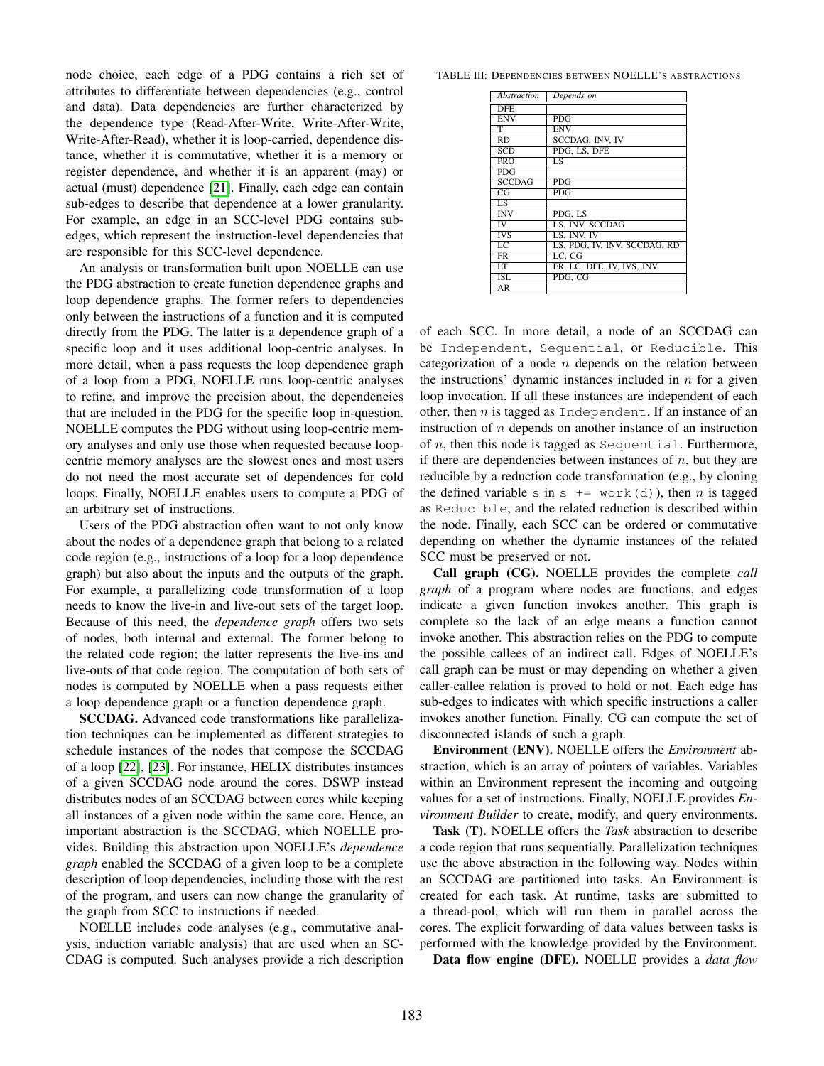node choice, each edge of a PDG contains a rich set of attributes to differentiate between dependencies (e.g., control and data). Data dependencies are further characterized by the dependence type (Read-After-Write, Write-After-Write, Write-After-Read), whether it is loop-carried, dependence distance, whether it is commutative, whether it is a memory or register dependence, and whether it is an apparent (may) or actual (must) dependence [\[21\]](#page-12-18). Finally, each edge can contain sub-edges to describe that dependence at a lower granularity. For example, an edge in an SCC-level PDG contains subedges, which represent the instruction-level dependencies that are responsible for this SCC-level dependence.

An analysis or transformation built upon NOELLE can use the PDG abstraction to create function dependence graphs and loop dependence graphs. The former refers to dependencies only between the instructions of a function and it is computed directly from the PDG. The latter is a dependence graph of a specific loop and it uses additional loop-centric analyses. In more detail, when a pass requests the loop dependence graph of a loop from a PDG, NOELLE runs loop-centric analyses to refine, and improve the precision about, the dependencies that are included in the PDG for the specific loop in-question. NOELLE computes the PDG without using loop-centric memory analyses and only use those when requested because loopcentric memory analyses are the slowest ones and most users do not need the most accurate set of dependences for cold loops. Finally, NOELLE enables users to compute a PDG of an arbitrary set of instructions.

Users of the PDG abstraction often want to not only know about the nodes of a dependence graph that belong to a related code region (e.g., instructions of a loop for a loop dependence graph) but also about the inputs and the outputs of the graph. For example, a parallelizing code transformation of a loop needs to know the live-in and live-out sets of the target loop. Because of this need, the *dependence graph* offers two sets of nodes, both internal and external. The former belong to the related code region; the latter represents the live-ins and live-outs of that code region. The computation of both sets of nodes is computed by NOELLE when a pass requests either a loop dependence graph or a function dependence graph.

SCCDAG. Advanced code transformations like parallelization techniques can be implemented as different strategies to schedule instances of the nodes that compose the SCCDAG of a loop [\[22\]](#page-12-19), [\[23\]](#page-12-20). For instance, HELIX distributes instances of a given SCCDAG node around the cores. DSWP instead distributes nodes of an SCCDAG between cores while keeping all instances of a given node within the same core. Hence, an important abstraction is the SCCDAG, which NOELLE provides. Building this abstraction upon NOELLE's *dependence graph* enabled the SCCDAG of a given loop to be a complete description of loop dependencies, including those with the rest of the program, and users can now change the granularity of the graph from SCC to instructions if needed.

NOELLE includes code analyses (e.g., commutative analysis, induction variable analysis) that are used when an SC-CDAG is computed. Such analyses provide a rich description

TABLE III: DEPENDENCIES BETWEEN NOELLE'S ABSTRACTIONS

| <b>Abstraction</b>      | Depends on                   |
|-------------------------|------------------------------|
| <b>DFE</b>              |                              |
| <b>ENV</b>              | <b>PDG</b>                   |
| т                       | <b>ENV</b>                   |
| RD                      | SCCDAG, INV, IV              |
| $\overline{\text{SCD}}$ | PDG. LS. DFE                 |
| <b>PRO</b>              | LS                           |
| PDG                     |                              |
| <b>SCCDAG</b>           | PDG                          |
| CG                      | <b>PDG</b>                   |
| $\overline{LS}$         |                              |
| <b>INV</b>              | PDG. LS                      |
| IV                      | LS, INV, SCCDAG              |
| <b>IVS</b>              | LS. INV. IV                  |
| $\overline{LC}$         | LS, PDG, IV, INV, SCCDAG, RD |
| <b>FR</b>               | LC. CG                       |
| LT                      | FR, LC, DFE, IV, IVS, INV    |
| ISL                     | PDG, CG                      |
| AR                      |                              |

of each SCC. In more detail, a node of an SCCDAG can be Independent, Sequential, or Reducible. This categorization of a node  $n$  depends on the relation between the instructions' dynamic instances included in  $n$  for a given loop invocation. If all these instances are independent of each other, then  $n$  is tagged as Independent. If an instance of an instruction of n depends on another instance of an instruction of  $n$ , then this node is tagged as Sequential. Furthermore, if there are dependencies between instances of  $n$ , but they are reducible by a reduction code transformation (e.g., by cloning the defined variable s in s  $+=$  work(d)), then *n* is tagged as Reducible, and the related reduction is described within the node. Finally, each SCC can be ordered or commutative depending on whether the dynamic instances of the related SCC must be preserved or not.

Call graph (CG). NOELLE provides the complete *call graph* of a program where nodes are functions, and edges indicate a given function invokes another. This graph is complete so the lack of an edge means a function cannot invoke another. This abstraction relies on the PDG to compute the possible callees of an indirect call. Edges of NOELLE's call graph can be must or may depending on whether a given caller-callee relation is proved to hold or not. Each edge has sub-edges to indicates with which specific instructions a caller invokes another function. Finally, CG can compute the set of disconnected islands of such a graph.

Environment (ENV). NOELLE offers the *Environment* abstraction, which is an array of pointers of variables. Variables within an Environment represent the incoming and outgoing values for a set of instructions. Finally, NOELLE provides *Environment Builder* to create, modify, and query environments.

Task (T). NOELLE offers the *Task* abstraction to describe a code region that runs sequentially. Parallelization techniques use the above abstraction in the following way. Nodes within an SCCDAG are partitioned into tasks. An Environment is created for each task. At runtime, tasks are submitted to a thread-pool, which will run them in parallel across the cores. The explicit forwarding of data values between tasks is performed with the knowledge provided by the Environment.

Data flow engine (DFE). NOELLE provides a *data flow*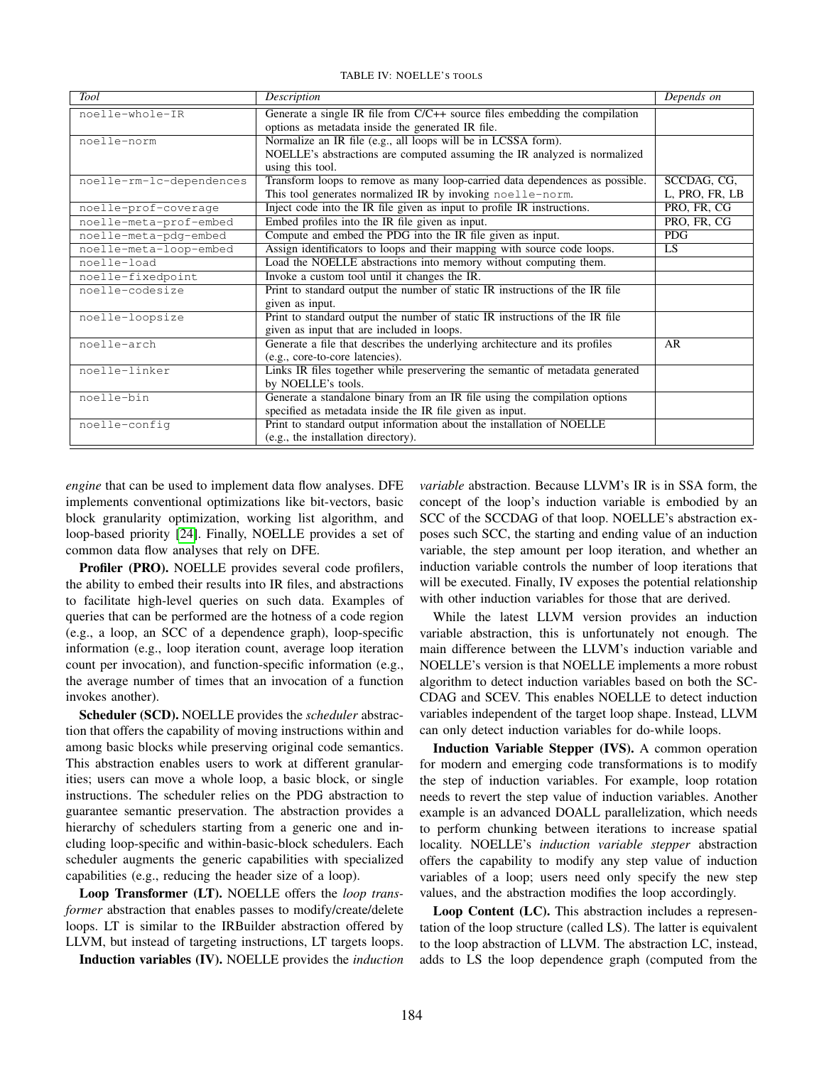TABLE IV: NOELLE'S TOOLS

<span id="page-5-0"></span>

| Tool                     | Description                                                                   | Depends on     |
|--------------------------|-------------------------------------------------------------------------------|----------------|
| noelle-whole-IR          | Generate a single IR file from $C/C++$ source files embedding the compilation |                |
|                          | options as metadata inside the generated IR file.                             |                |
| noelle-norm              | Normalize an IR file (e.g., all loops will be in LCSSA form).                 |                |
|                          | NOELLE's abstractions are computed assuming the IR analyzed is normalized     |                |
|                          | using this tool.                                                              |                |
| noelle-rm-lc-dependences | Transform loops to remove as many loop-carried data dependences as possible.  | SCCDAG, CG,    |
|                          | This tool generates normalized IR by invoking noelle-norm.                    | L, PRO, FR, LB |
| noelle-prof-coverage     | Inject code into the IR file given as input to profile IR instructions.       | PRO, FR, CG    |
| noelle-meta-prof-embed   | Embed profiles into the IR file given as input.                               | PRO, FR, CG    |
| noelle-meta-pdq-embed    | Compute and embed the PDG into the IR file given as input.                    | <b>PDG</b>     |
| noelle-meta-loop-embed   | Assign identificators to loops and their mapping with source code loops.      | LS.            |
| noelle-load              | Load the NOELLE abstractions into memory without computing them.              |                |
| noelle-fixedpoint        | Invoke a custom tool until it changes the IR.                                 |                |
| noelle-codesize          | Print to standard output the number of static IR instructions of the IR file  |                |
|                          | given as input.                                                               |                |
| noelle-loopsize          | Print to standard output the number of static IR instructions of the IR file  |                |
|                          | given as input that are included in loops.                                    |                |
| noelle-arch              | Generate a file that describes the underlying architecture and its profiles   | AR             |
|                          | (e.g., core-to-core latencies).                                               |                |
| noelle-linker            | Links IR files together while preservering the semantic of metadata generated |                |
|                          | by NOELLE's tools.                                                            |                |
| noelle-bin               | Generate a standalone binary from an IR file using the compilation options    |                |
|                          | specified as metadata inside the IR file given as input.                      |                |
| noelle-config            | Print to standard output information about the installation of NOELLE         |                |
|                          | (e.g., the installation directory).                                           |                |

*engine* that can be used to implement data flow analyses. DFE implements conventional optimizations like bit-vectors, basic block granularity optimization, working list algorithm, and loop-based priority [\[24\]](#page-12-21). Finally, NOELLE provides a set of common data flow analyses that rely on DFE.

Profiler (PRO). NOELLE provides several code profilers, the ability to embed their results into IR files, and abstractions to facilitate high-level queries on such data. Examples of queries that can be performed are the hotness of a code region (e.g., a loop, an SCC of a dependence graph), loop-specific information (e.g., loop iteration count, average loop iteration count per invocation), and function-specific information (e.g., the average number of times that an invocation of a function invokes another).

Scheduler (SCD). NOELLE provides the *scheduler* abstraction that offers the capability of moving instructions within and among basic blocks while preserving original code semantics. This abstraction enables users to work at different granularities; users can move a whole loop, a basic block, or single instructions. The scheduler relies on the PDG abstraction to guarantee semantic preservation. The abstraction provides a hierarchy of schedulers starting from a generic one and including loop-specific and within-basic-block schedulers. Each scheduler augments the generic capabilities with specialized capabilities (e.g., reducing the header size of a loop).

Loop Transformer (LT). NOELLE offers the *loop transformer* abstraction that enables passes to modify/create/delete loops. LT is similar to the IRBuilder abstraction offered by LLVM, but instead of targeting instructions, LT targets loops.

Induction variables (IV). NOELLE provides the *induction*

*variable* abstraction. Because LLVM's IR is in SSA form, the concept of the loop's induction variable is embodied by an SCC of the SCCDAG of that loop. NOELLE's abstraction exposes such SCC, the starting and ending value of an induction variable, the step amount per loop iteration, and whether an induction variable controls the number of loop iterations that will be executed. Finally, IV exposes the potential relationship with other induction variables for those that are derived.

While the latest LLVM version provides an induction variable abstraction, this is unfortunately not enough. The main difference between the LLVM's induction variable and NOELLE's version is that NOELLE implements a more robust algorithm to detect induction variables based on both the SC-CDAG and SCEV. This enables NOELLE to detect induction variables independent of the target loop shape. Instead, LLVM can only detect induction variables for do-while loops.

Induction Variable Stepper (IVS). A common operation for modern and emerging code transformations is to modify the step of induction variables. For example, loop rotation needs to revert the step value of induction variables. Another example is an advanced DOALL parallelization, which needs to perform chunking between iterations to increase spatial locality. NOELLE's *induction variable stepper* abstraction offers the capability to modify any step value of induction variables of a loop; users need only specify the new step values, and the abstraction modifies the loop accordingly.

Loop Content (LC). This abstraction includes a representation of the loop structure (called LS). The latter is equivalent to the loop abstraction of LLVM. The abstraction LC, instead, adds to LS the loop dependence graph (computed from the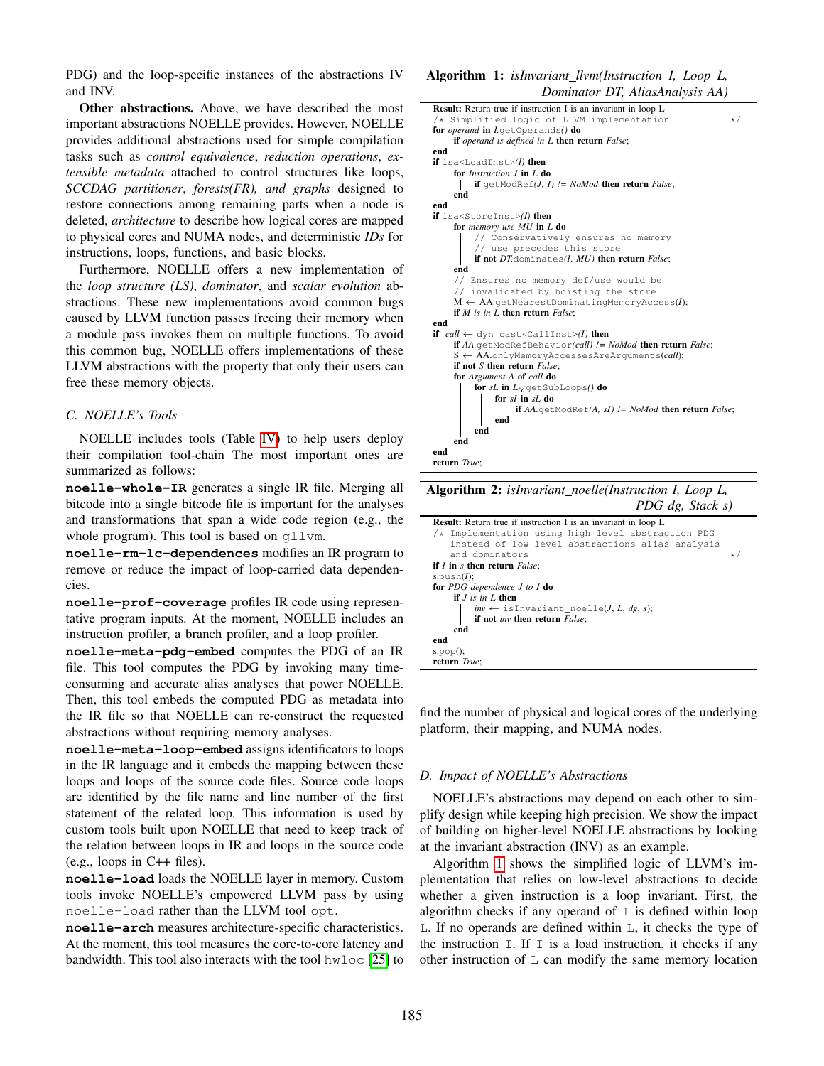PDG) and the loop-specific instances of the abstractions IV and INV.

Other abstractions. Above, we have described the most important abstractions NOELLE provides. However, NOELLE provides additional abstractions used for simple compilation tasks such as *control equivalence*, *reduction operations*, *extensible metadata* attached to control structures like loops, *SCCDAG partitioner*, *forests(FR), and graphs* designed to restore connections among remaining parts when a node is deleted, *architecture* to describe how logical cores are mapped to physical cores and NUMA nodes, and deterministic *IDs* for instructions, loops, functions, and basic blocks.

Furthermore, NOELLE offers a new implementation of the *loop structure (LS)*, *dominator*, and *scalar evolution* abstractions. These new implementations avoid common bugs caused by LLVM function passes freeing their memory when a module pass invokes them on multiple functions. To avoid this common bug, NOELLE offers implementations of these LLVM abstractions with the property that only their users can free these memory objects.

## <span id="page-6-0"></span>*C. NOELLE's Tools*

NOELLE includes tools (Table [IV\)](#page-5-0) to help users deploy their compilation tool-chain The most important ones are summarized as follows:

**noelle-whole-IR** generates a single IR file. Merging all bitcode into a single bitcode file is important for the analyses and transformations that span a wide code region (e.g., the whole program). This tool is based on qllvm.

**noelle-rm-lc-dependences** modifies an IR program to remove or reduce the impact of loop-carried data dependencies.

**noelle-prof-coverage** profiles IR code using representative program inputs. At the moment, NOELLE includes an instruction profiler, a branch profiler, and a loop profiler.

**noelle-meta-pdg-embed** computes the PDG of an IR file. This tool computes the PDG by invoking many timeconsuming and accurate alias analyses that power NOELLE. Then, this tool embeds the computed PDG as metadata into the IR file so that NOELLE can re-construct the requested abstractions without requiring memory analyses.

**noelle-meta-loop-embed** assigns identificators to loops in the IR language and it embeds the mapping between these loops and loops of the source code files. Source code loops are identified by the file name and line number of the first statement of the related loop. This information is used by custom tools built upon NOELLE that need to keep track of the relation between loops in IR and loops in the source code (e.g., loops in C++ files).

**noelle-load** loads the NOELLE layer in memory. Custom tools invoke NOELLE's empowered LLVM pass by using noelle-load rather than the LLVM tool opt.

**noelle-arch** measures architecture-specific characteristics. At the moment, this tool measures the core-to-core latency and bandwidth. This tool also interacts with the tool hwloc [\[25\]](#page-12-22) to

Algorithm 1: *isInvariant llvm(Instruction I, Loop L, Dominator DT, AliasAnalysis AA)*

| <b>Result:</b> Return true if instruction I is an invariant in loop L            |
|----------------------------------------------------------------------------------|
| /* Simplified logic of LLVM implementation<br>$\star/$                           |
| for <i>operand</i> in <i>I.getOperands()</i> do                                  |
| <b>if</b> operand is defined in L then return False;                             |
| end                                                                              |
| if isa <loadinst><math>(I)</math> then</loadinst>                                |
| for <i>Instruction</i> $J$ in $L$ do                                             |
| if getModRef( <i>J</i> , <i>I</i> ) $!=$ <i>NoMod</i> then return <i>False</i> ; |
| end                                                                              |
| end                                                                              |
| if isa <storeinst><math>(I)</math> then</storeinst>                              |
| for memory use MU in L do                                                        |
| // Conservatively ensures no memory                                              |
| // use precedes this store                                                       |
| if not DT.dominates(I, MU) then return False;                                    |
| end                                                                              |
| // Ensures no memory def/use would be                                            |
| // invalidated by hoisting the store                                             |
| $M \leftarrow AA$ .getNearestDominatingMemoryAccess(I);                          |
| if $M$ is in $L$ then return $False$ ;                                           |
| end                                                                              |
| if $call \leftarrow dyn\_cast \leftarrow \text{d}allInst \leftarrow (I)$ then    |
| <b>if</b> AA.getModRefBehavior(call) != NoMod then return False;                 |
| $S \leftarrow AA$ .onlyMemoryAccessesAreArquments(call);                         |
| if not $S$ then return $False$ :                                                 |
| for Argument A of call do                                                        |
| for sL in $L$ -z get SubLoops() do                                               |
| for $sI$ in $sI$ , do                                                            |
| if $AA$ .getModRef $(A, sI)$ != NoMod then return False;                         |
| end                                                                              |
| end                                                                              |
| end                                                                              |
| end                                                                              |
| return True;                                                                     |

<span id="page-6-1"></span>Algorithm 2: *isInvariant noelle(Instruction I, Loop L, PDG dg, Stack s)*

| <b>Result:</b> Return true if instruction I is an invariant in loop L               |     |
|-------------------------------------------------------------------------------------|-----|
| /* Implementation using high level abstraction PDG                                  |     |
| instead of low level abstractions alias analysis                                    |     |
| and dominators                                                                      | $*$ |
| if $I$ in $s$ then return $False$ ;                                                 |     |
| s.push $(I)$ ;                                                                      |     |
| for PDG dependence $J$ to $I$ do                                                    |     |
| if $J$ is in $L$ then                                                               |     |
| $inv \leftarrow$ is Invariant_noelle( <i>J</i> , <i>L</i> , <i>dg</i> , <i>s</i> ); |     |
| if not <i>inv</i> then return <i>False</i> ;                                        |     |
| end                                                                                 |     |
| end                                                                                 |     |
| $s.pop()$ ;                                                                         |     |
| return True:                                                                        |     |
|                                                                                     |     |

<span id="page-6-2"></span>find the number of physical and logical cores of the underlying platform, their mapping, and NUMA nodes.

#### *D. Impact of NOELLE's Abstractions*

NOELLE's abstractions may depend on each other to simplify design while keeping high precision. We show the impact of building on higher-level NOELLE abstractions by looking at the invariant abstraction (INV) as an example.

Algorithm [1](#page-6-1) shows the simplified logic of LLVM's implementation that relies on low-level abstractions to decide whether a given instruction is a loop invariant. First, the algorithm checks if any operand of  $I$  is defined within loop L. If no operands are defined within L, it checks the type of the instruction  $I$ . If  $I$  is a load instruction, it checks if any other instruction of L can modify the same memory location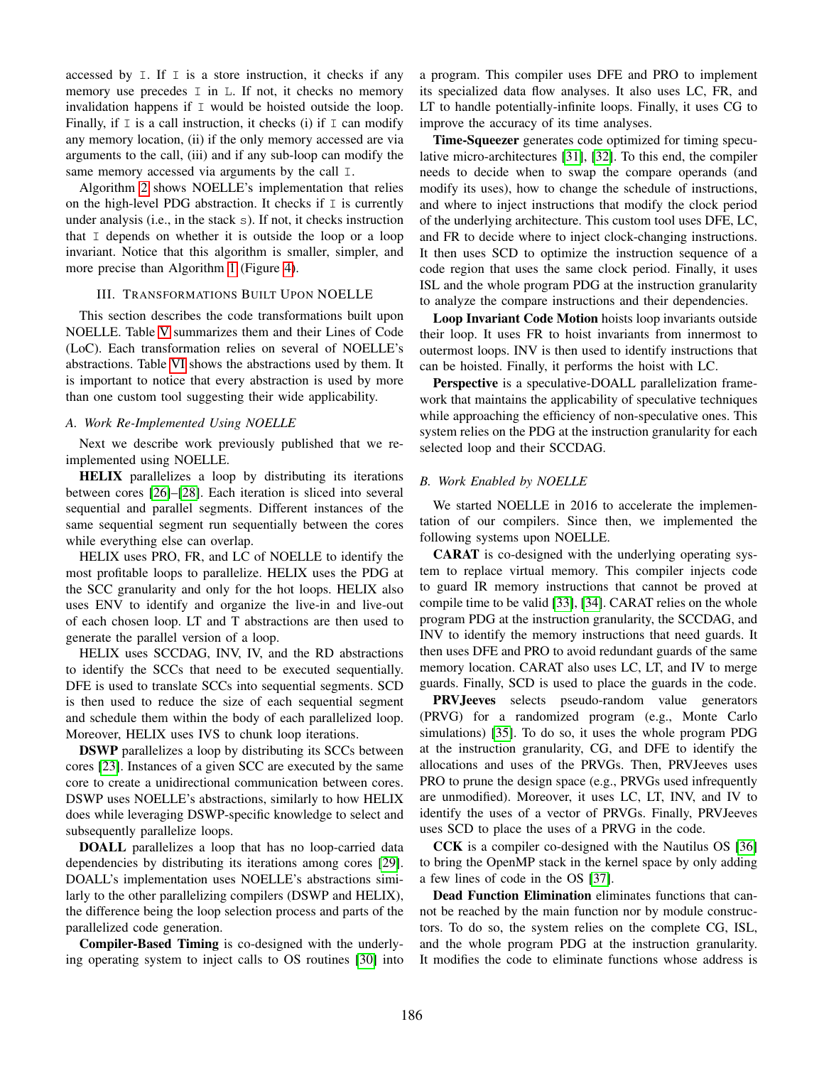accessed by  $I$ . If  $I$  is a store instruction, it checks if any memory use precedes  $I$  in  $I$ . If not, it checks no memory invalidation happens if I would be hoisted outside the loop. Finally, if  $I$  is a call instruction, it checks (i) if  $I$  can modify any memory location, (ii) if the only memory accessed are via arguments to the call, (iii) and if any sub-loop can modify the same memory accessed via arguments by the call I.

Algorithm [2](#page-6-2) shows NOELLE's implementation that relies on the high-level PDG abstraction. It checks if  $I$  is currently under analysis (i.e., in the stack s). If not, it checks instruction that I depends on whether it is outside the loop or a loop invariant. Notice that this algorithm is smaller, simpler, and more precise than Algorithm [1](#page-6-1) (Figure [4\)](#page-9-0).

# III. TRANSFORMATIONS BUILT UPON NOELLE

<span id="page-7-0"></span>This section describes the code transformations built upon NOELLE. Table [V](#page-8-1) summarizes them and their Lines of Code (LoC). Each transformation relies on several of NOELLE's abstractions. Table [VI](#page-8-2) shows the abstractions used by them. It is important to notice that every abstraction is used by more than one custom tool suggesting their wide applicability.

# *A. Work Re-Implemented Using NOELLE*

Next we describe work previously published that we reimplemented using NOELLE.

HELIX parallelizes a loop by distributing its iterations between cores [\[26\]](#page-12-23)–[\[28\]](#page-12-24). Each iteration is sliced into several sequential and parallel segments. Different instances of the same sequential segment run sequentially between the cores while everything else can overlap.

HELIX uses PRO, FR, and LC of NOELLE to identify the most profitable loops to parallelize. HELIX uses the PDG at the SCC granularity and only for the hot loops. HELIX also uses ENV to identify and organize the live-in and live-out of each chosen loop. LT and T abstractions are then used to generate the parallel version of a loop.

HELIX uses SCCDAG, INV, IV, and the RD abstractions to identify the SCCs that need to be executed sequentially. DFE is used to translate SCCs into sequential segments. SCD is then used to reduce the size of each sequential segment and schedule them within the body of each parallelized loop. Moreover, HELIX uses IVS to chunk loop iterations.

DSWP parallelizes a loop by distributing its SCCs between cores [\[23\]](#page-12-20). Instances of a given SCC are executed by the same core to create a unidirectional communication between cores. DSWP uses NOELLE's abstractions, similarly to how HELIX does while leveraging DSWP-specific knowledge to select and subsequently parallelize loops.

DOALL parallelizes a loop that has no loop-carried data dependencies by distributing its iterations among cores [\[29\]](#page-12-25). DOALL's implementation uses NOELLE's abstractions similarly to the other parallelizing compilers (DSWP and HELIX), the difference being the loop selection process and parts of the parallelized code generation.

Compiler-Based Timing is co-designed with the underlying operating system to inject calls to OS routines [\[30\]](#page-12-26) into

a program. This compiler uses DFE and PRO to implement its specialized data flow analyses. It also uses LC, FR, and LT to handle potentially-infinite loops. Finally, it uses CG to improve the accuracy of its time analyses.

Time-Squeezer generates code optimized for timing speculative micro-architectures [\[31\]](#page-12-27), [\[32\]](#page-12-28). To this end, the compiler needs to decide when to swap the compare operands (and modify its uses), how to change the schedule of instructions, and where to inject instructions that modify the clock period of the underlying architecture. This custom tool uses DFE, LC, and FR to decide where to inject clock-changing instructions. It then uses SCD to optimize the instruction sequence of a code region that uses the same clock period. Finally, it uses ISL and the whole program PDG at the instruction granularity to analyze the compare instructions and their dependencies.

Loop Invariant Code Motion hoists loop invariants outside their loop. It uses FR to hoist invariants from innermost to outermost loops. INV is then used to identify instructions that can be hoisted. Finally, it performs the hoist with LC.

Perspective is a speculative-DOALL parallelization framework that maintains the applicability of speculative techniques while approaching the efficiency of non-speculative ones. This system relies on the PDG at the instruction granularity for each selected loop and their SCCDAG.

## *B. Work Enabled by NOELLE*

We started NOELLE in 2016 to accelerate the implementation of our compilers. Since then, we implemented the following systems upon NOELLE.

CARAT is co-designed with the underlying operating system to replace virtual memory. This compiler injects code to guard IR memory instructions that cannot be proved at compile time to be valid [\[33\]](#page-12-29), [\[34\]](#page-12-30). CARAT relies on the whole program PDG at the instruction granularity, the SCCDAG, and INV to identify the memory instructions that need guards. It then uses DFE and PRO to avoid redundant guards of the same memory location. CARAT also uses LC, LT, and IV to merge guards. Finally, SCD is used to place the guards in the code.

PRVJeeves selects pseudo-random value generators (PRVG) for a randomized program (e.g., Monte Carlo simulations) [\[35\]](#page-13-0). To do so, it uses the whole program PDG at the instruction granularity, CG, and DFE to identify the allocations and uses of the PRVGs. Then, PRVJeeves uses PRO to prune the design space (e.g., PRVGs used infrequently are unmodified). Moreover, it uses LC, LT, INV, and IV to identify the uses of a vector of PRVGs. Finally, PRVJeeves uses SCD to place the uses of a PRVG in the code.

CCK is a compiler co-designed with the Nautilus OS [\[36\]](#page-13-1) to bring the OpenMP stack in the kernel space by only adding a few lines of code in the OS [\[37\]](#page-13-2).

Dead Function Elimination eliminates functions that cannot be reached by the main function nor by module constructors. To do so, the system relies on the complete CG, ISL, and the whole program PDG at the instruction granularity. It modifies the code to eliminate functions whose address is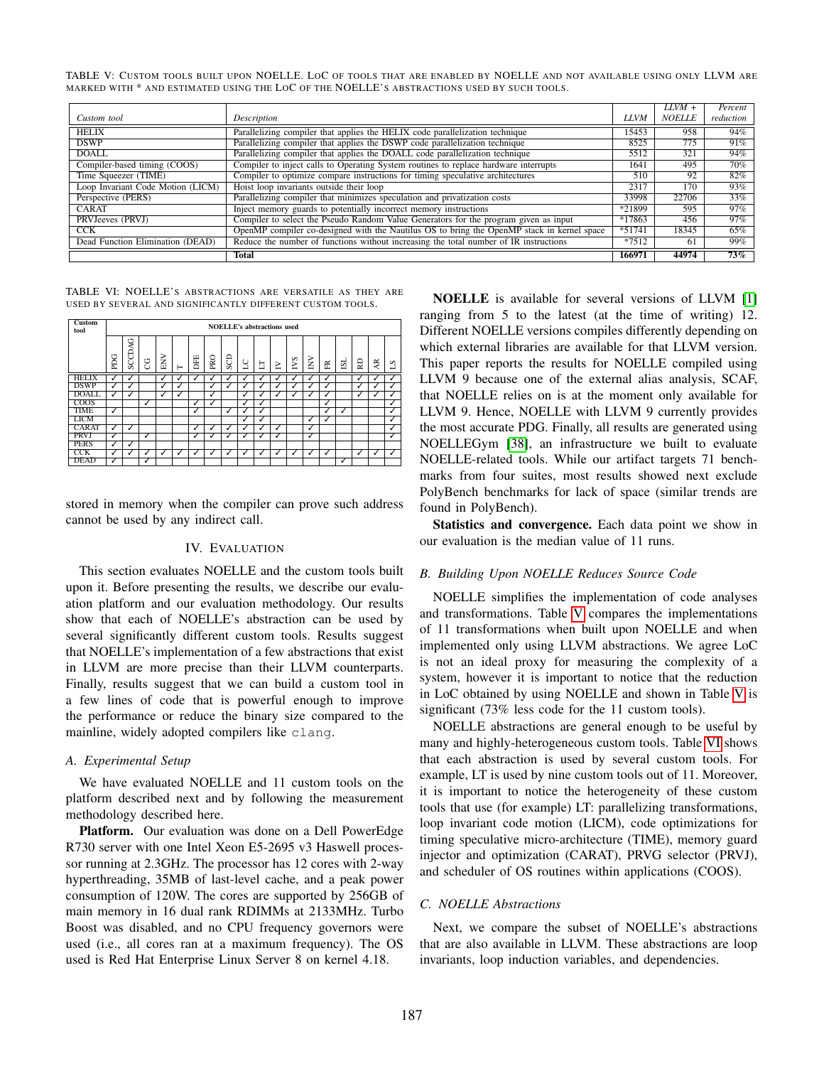<span id="page-8-1"></span>TABLE V: CUSTOM TOOLS BUILT UPON NOELLE. LOC OF TOOLS THAT ARE ENABLED BY NOELLE AND NOT AVAILABLE USING ONLY LLVM ARE MARKED WITH \* AND ESTIMATED USING THE LOC OF THE NOELLE'S ABSTRACTIONS USED BY SUCH TOOLS.

|                                   |                                                                                            |          | $LIVM +$      | Percent   |
|-----------------------------------|--------------------------------------------------------------------------------------------|----------|---------------|-----------|
| Custom tool                       | Description                                                                                | LLVM     | <b>NOELLE</b> | reduction |
| <b>HELIX</b>                      | Parallelizing compiler that applies the HELIX code parallelization technique               | 15453    | 958           | 94%       |
| <b>DSWP</b>                       | Parallelizing compiler that applies the DSWP code parallelization technique                | 8525     | 775           | 91%       |
| DOALL.                            | Parallelizing compiler that applies the DOALL code parallelization technique               | 5512     | 321           | 94%       |
| Compiler-based timing (COOS)      | Compiler to inject calls to Operating System routines to replace hardware interrupts       | 1641     | 495           | 70%       |
| Time Squeezer (TIME)              | Compiler to optimize compare instructions for timing speculative architectures             | 510      | 92            | 82%       |
| Loop Invariant Code Motion (LICM) | Hoist loop invariants outside their loop                                                   | 2317     | 170           | 93%       |
| Perspective (PERS)                | Parallelizing compiler that minimizes speculation and privatization costs                  | 33998    | 22706         | 33%       |
| <b>CARAT</b>                      | Inject memory guards to potentially incorrect memory instructions                          | *21899   | 595           | 97%       |
| PRVJeeves (PRVJ)                  | Compiler to select the Pseudo Random Value Generators for the program given as input       | *17863   | 456           | 97%       |
| <b>CCK</b>                        | OpenMP compiler co-designed with the Nautilus OS to bring the OpenMP stack in kernel space | $*51741$ | 18345         | 65%       |
| Dead Function Elimination (DEAD)  | Reduce the number of functions without increasing the total number of IR instructions      | $*7512$  | 61            | 99%       |
|                                   | <b>Total</b>                                                                               | 166971   | 44974         | $73\%$    |

<span id="page-8-2"></span>TABLE VI: NOELLE'S ABSTRACTIONS ARE VERSATILE AS THEY ARE USED BY SEVERAL AND SIGNIFICANTLY DIFFERENT CUSTOM TOOLS.

| <b>Custom</b><br>tool | <b>NOELLE's abstractions used</b> |        |   |     |   |               |            |     |   |              |   |            |        |   |    |    |              |           |
|-----------------------|-----------------------------------|--------|---|-----|---|---------------|------------|-----|---|--------------|---|------------|--------|---|----|----|--------------|-----------|
|                       | PDG                               | SCCDAG | g | ENV | ⊢ | DFE           | <b>PRO</b> | SCD | 5 | 5            | ≥ | <b>IVS</b> | $\geq$ | 匥 | šī | RD | AR           | $^{2}$    |
| <b>HELIX</b>          | J                                 | √      |   | ✓   |   | ↵             | √          | √   |   | $\checkmark$ | ✓ | v          | √      | √ |    |    |              | $\lambda$ |
| <b>DSWP</b>           | ✓                                 | ✓      |   | ✓   | ✓ |               | ✓          | ✓   | ✓ | √            | ✓ | ✓          | ✓      | ✓ |    |    | ✓            | ✓         |
| <b>DOALL</b>          | ✓                                 | √      |   | ✓   | J |               | ✓          |     | ✓ | $\checkmark$ | ✓ | ✓          | √      | ✓ |    |    | $\checkmark$ | ✓         |
| COOS                  |                                   |        | ✓ |     |   | $\checkmark$  | ✓          |     | V | ✓            |   |            |        | ✓ |    |    |              | ✓         |
| TIME                  | ⊽                                 |        |   |     |   | $\mathcal{I}$ |            | ✓   |   | ✓            |   |            |        | ✓ | ✓  |    |              | ⊽         |
| <b>LICM</b>           |                                   |        |   |     |   |               |            |     | ⊽ | ✓            |   |            | ✓      | V |    |    |              | ⊽         |
| <b>CARAT</b>          | ✓                                 | ✓      |   |     |   | ✓             | v          | ✓   | ✓ | √            | ✓ |            | ✓      |   |    |    |              | ✓         |
| PRVJ                  | ✓                                 |        | ⊽ |     |   | ✓             | ✓          | ン   | V | ✓            | ✓ |            | ᢦ      |   |    |    |              | ⊽         |
| <b>PERS</b>           | ✓                                 | ✓      |   |     |   |               |            |     |   |              |   |            |        |   |    |    |              |           |
| CCK                   | J                                 |        |   |     |   |               | J          | J   |   | J            | J | ✓          | J      | J |    | J  |              | ✓         |
| <b>DEAD</b>           | ▽                                 |        | ✓ |     |   |               |            |     |   |              |   |            |        |   | ✓  |    |              |           |

stored in memory when the compiler can prove such address cannot be used by any indirect call.

# IV. EVALUATION

<span id="page-8-0"></span>This section evaluates NOELLE and the custom tools built upon it. Before presenting the results, we describe our evaluation platform and our evaluation methodology. Our results show that each of NOELLE's abstraction can be used by several significantly different custom tools. Results suggest that NOELLE's implementation of a few abstractions that exist in LLVM are more precise than their LLVM counterparts. Finally, results suggest that we can build a custom tool in a few lines of code that is powerful enough to improve the performance or reduce the binary size compared to the mainline, widely adopted compilers like clang.

# *A. Experimental Setup*

We have evaluated NOELLE and 11 custom tools on the platform described next and by following the measurement methodology described here.

Platform. Our evaluation was done on a Dell PowerEdge R730 server with one Intel Xeon E5-2695 v3 Haswell processor running at 2.3GHz. The processor has 12 cores with 2-way hyperthreading, 35MB of last-level cache, and a peak power consumption of 120W. The cores are supported by 256GB of main memory in 16 dual rank RDIMMs at 2133MHz. Turbo Boost was disabled, and no CPU frequency governors were used (i.e., all cores ran at a maximum frequency). The OS used is Red Hat Enterprise Linux Server 8 on kernel 4.18.

NOELLE is available for several versions of LLVM [\[1\]](#page-12-0) ranging from 5 to the latest (at the time of writing) 12. Different NOELLE versions compiles differently depending on which external libraries are available for that LLVM version. This paper reports the results for NOELLE compiled using LLVM 9 because one of the external alias analysis, SCAF, that NOELLE relies on is at the moment only available for LLVM 9. Hence, NOELLE with LLVM 9 currently provides the most accurate PDG. Finally, all results are generated using NOELLEGym [\[38\]](#page-13-3), an infrastructure we built to evaluate NOELLE-related tools. While our artifact targets 71 benchmarks from four suites, most results showed next exclude PolyBench benchmarks for lack of space (similar trends are found in PolyBench).

Statistics and convergence. Each data point we show in our evaluation is the median value of 11 runs.

## *B. Building Upon NOELLE Reduces Source Code*

NOELLE simplifies the implementation of code analyses and transformations. Table [V](#page-8-1) compares the implementations of 11 transformations when built upon NOELLE and when implemented only using LLVM abstractions. We agree LoC is not an ideal proxy for measuring the complexity of a system, however it is important to notice that the reduction in LoC obtained by using NOELLE and shown in Table [V](#page-8-1) is significant (73% less code for the 11 custom tools).

NOELLE abstractions are general enough to be useful by many and highly-heterogeneous custom tools. Table [VI](#page-8-2) shows that each abstraction is used by several custom tools. For example, LT is used by nine custom tools out of 11. Moreover, it is important to notice the heterogeneity of these custom tools that use (for example) LT: parallelizing transformations, loop invariant code motion (LICM), code optimizations for timing speculative micro-architecture (TIME), memory guard injector and optimization (CARAT), PRVG selector (PRVJ), and scheduler of OS routines within applications (COOS).

# *C. NOELLE Abstractions*

Next, we compare the subset of NOELLE's abstractions that are also available in LLVM. These abstractions are loop invariants, loop induction variables, and dependencies.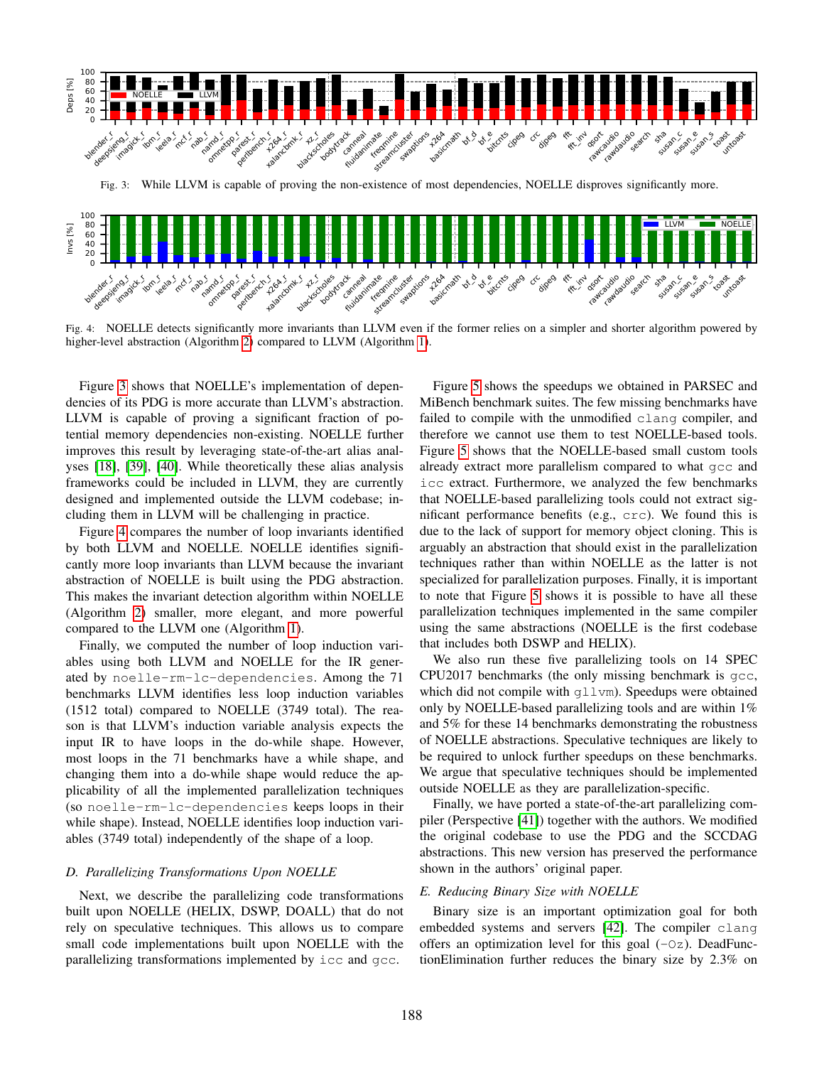<span id="page-9-1"></span>

<span id="page-9-0"></span>Fig. 4: NOELLE detects significantly more invariants than LLVM even if the former relies on a simpler and shorter algorithm powered by higher-level abstraction (Algorithm [2\)](#page-6-2) compared to LLVM (Algorithm [1\)](#page-6-1).

Figure [3](#page-9-1) shows that NOELLE's implementation of dependencies of its PDG is more accurate than LLVM's abstraction. LLVM is capable of proving a significant fraction of potential memory dependencies non-existing. NOELLE further improves this result by leveraging state-of-the-art alias analyses [\[18\]](#page-12-13), [\[39\]](#page-13-4), [\[40\]](#page-13-5). While theoretically these alias analysis frameworks could be included in LLVM, they are currently designed and implemented outside the LLVM codebase; including them in LLVM will be challenging in practice.

Figure [4](#page-9-0) compares the number of loop invariants identified by both LLVM and NOELLE. NOELLE identifies significantly more loop invariants than LLVM because the invariant abstraction of NOELLE is built using the PDG abstraction. This makes the invariant detection algorithm within NOELLE (Algorithm [2\)](#page-6-2) smaller, more elegant, and more powerful compared to the LLVM one (Algorithm [1\)](#page-6-1).

Finally, we computed the number of loop induction variables using both LLVM and NOELLE for the IR generated by noelle-rm-lc-dependencies. Among the 71 benchmarks LLVM identifies less loop induction variables (1512 total) compared to NOELLE (3749 total). The reason is that LLVM's induction variable analysis expects the input IR to have loops in the do-while shape. However, most loops in the 71 benchmarks have a while shape, and changing them into a do-while shape would reduce the applicability of all the implemented parallelization techniques (so noelle-rm-lc-dependencies keeps loops in their while shape). Instead, NOELLE identifies loop induction variables (3749 total) independently of the shape of a loop.

# *D. Parallelizing Transformations Upon NOELLE*

Next, we describe the parallelizing code transformations built upon NOELLE (HELIX, DSWP, DOALL) that do not rely on speculative techniques. This allows us to compare small code implementations built upon NOELLE with the parallelizing transformations implemented by icc and gcc.

Figure [5](#page-10-1) shows the speedups we obtained in PARSEC and MiBench benchmark suites. The few missing benchmarks have failed to compile with the unmodified clang compiler, and therefore we cannot use them to test NOELLE-based tools. Figure [5](#page-10-1) shows that the NOELLE-based small custom tools already extract more parallelism compared to what gcc and icc extract. Furthermore, we analyzed the few benchmarks that NOELLE-based parallelizing tools could not extract significant performance benefits (e.g., crc). We found this is due to the lack of support for memory object cloning. This is arguably an abstraction that should exist in the parallelization techniques rather than within NOELLE as the latter is not specialized for parallelization purposes. Finally, it is important to note that Figure [5](#page-10-1) shows it is possible to have all these parallelization techniques implemented in the same compiler using the same abstractions (NOELLE is the first codebase that includes both DSWP and HELIX).

We also run these five parallelizing tools on 14 SPEC CPU2017 benchmarks (the only missing benchmark is gcc, which did not compile with qllvm). Speedups were obtained only by NOELLE-based parallelizing tools and are within 1% and 5% for these 14 benchmarks demonstrating the robustness of NOELLE abstractions. Speculative techniques are likely to be required to unlock further speedups on these benchmarks. We argue that speculative techniques should be implemented outside NOELLE as they are parallelization-specific.

Finally, we have ported a state-of-the-art parallelizing compiler (Perspective [\[41\]](#page-13-6)) together with the authors. We modified the original codebase to use the PDG and the SCCDAG abstractions. This new version has preserved the performance shown in the authors' original paper.

#### *E. Reducing Binary Size with NOELLE*

Binary size is an important optimization goal for both embedded systems and servers [\[42\]](#page-13-7). The compiler clang offers an optimization level for this goal  $(-0z)$ . DeadFunctionElimination further reduces the binary size by 2.3% on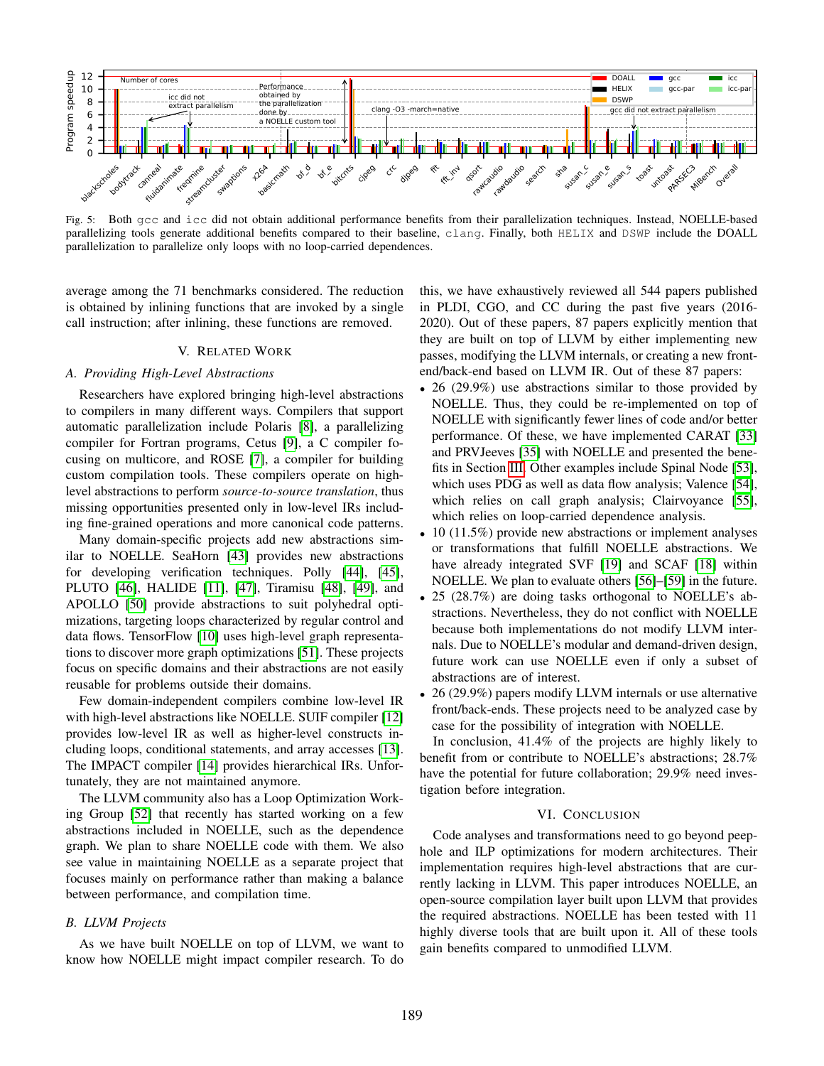<span id="page-10-1"></span>

Fig. 5: Both gcc and icc did not obtain additional performance benefits from their parallelization techniques. Instead, NOELLE-based parallelizing tools generate additional benefits compared to their baseline, clang. Finally, both HELIX and DSWP include the DOALL parallelization to parallelize only loops with no loop-carried dependences.

average among the 71 benchmarks considered. The reduction is obtained by inlining functions that are invoked by a single call instruction; after inlining, these functions are removed.

#### V. RELATED WORK

# <span id="page-10-0"></span>*A. Providing High-Level Abstractions*

Researchers have explored bringing high-level abstractions to compilers in many different ways. Compilers that support automatic parallelization include Polaris [\[8\]](#page-12-31), a parallelizing compiler for Fortran programs, Cetus [\[9\]](#page-12-6), a C compiler focusing on multicore, and ROSE [\[7\]](#page-12-5), a compiler for building custom compilation tools. These compilers operate on highlevel abstractions to perform *source-to-source translation*, thus missing opportunities presented only in low-level IRs including fine-grained operations and more canonical code patterns.

Many domain-specific projects add new abstractions similar to NOELLE. SeaHorn [\[43\]](#page-13-8) provides new abstractions for developing verification techniques. Polly [\[44\]](#page-13-9), [\[45\]](#page-13-10), PLUTO [\[46\]](#page-13-11), HALIDE [\[11\]](#page-12-8), [\[47\]](#page-13-12), Tiramisu [\[48\]](#page-13-13), [\[49\]](#page-13-14), and APOLLO [\[50\]](#page-13-15) provide abstractions to suit polyhedral optimizations, targeting loops characterized by regular control and data flows. TensorFlow [\[10\]](#page-12-7) uses high-level graph representations to discover more graph optimizations [\[51\]](#page-13-16). These projects focus on specific domains and their abstractions are not easily reusable for problems outside their domains.

Few domain-independent compilers combine low-level IR with high-level abstractions like NOELLE. SUIF compiler [\[12\]](#page-12-9) provides low-level IR as well as higher-level constructs including loops, conditional statements, and array accesses [\[13\]](#page-12-10). The IMPACT compiler [\[14\]](#page-12-11) provides hierarchical IRs. Unfortunately, they are not maintained anymore.

The LLVM community also has a Loop Optimization Working Group [\[52\]](#page-13-17) that recently has started working on a few abstractions included in NOELLE, such as the dependence graph. We plan to share NOELLE code with them. We also see value in maintaining NOELLE as a separate project that focuses mainly on performance rather than making a balance between performance, and compilation time.

#### *B. LLVM Projects*

As we have built NOELLE on top of LLVM, we want to know how NOELLE might impact compiler research. To do this, we have exhaustively reviewed all 544 papers published in PLDI, CGO, and CC during the past five years (2016- 2020). Out of these papers, 87 papers explicitly mention that they are built on top of LLVM by either implementing new passes, modifying the LLVM internals, or creating a new frontend/back-end based on LLVM IR. Out of these 87 papers:

- 26 (29.9%) use abstractions similar to those provided by NOELLE. Thus, they could be re-implemented on top of NOELLE with significantly fewer lines of code and/or better performance. Of these, we have implemented CARAT [\[33\]](#page-12-29) and PRVJeeves [\[35\]](#page-13-0) with NOELLE and presented the benefits in Section [III.](#page-7-0) Other examples include Spinal Node [\[53\]](#page-13-18), which uses PDG as well as data flow analysis; Valence [\[54\]](#page-13-19), which relies on call graph analysis; Clairvoyance [\[55\]](#page-13-20), which relies on loop-carried dependence analysis.
- 10 (11.5%) provide new abstractions or implement analyses or transformations that fulfill NOELLE abstractions. We have already integrated SVF [\[19\]](#page-12-14) and SCAF [\[18\]](#page-12-13) within NOELLE. We plan to evaluate others [\[56\]](#page-13-21)–[\[59\]](#page-13-22) in the future.
- 25 (28.7%) are doing tasks orthogonal to NOELLE's abstractions. Nevertheless, they do not conflict with NOELLE because both implementations do not modify LLVM internals. Due to NOELLE's modular and demand-driven design, future work can use NOELLE even if only a subset of abstractions are of interest.
- 26 (29.9%) papers modify LLVM internals or use alternative front/back-ends. These projects need to be analyzed case by case for the possibility of integration with NOELLE.

In conclusion, 41.4% of the projects are highly likely to benefit from or contribute to NOELLE's abstractions; 28.7% have the potential for future collaboration; 29.9% need investigation before integration.

# VI. CONCLUSION

Code analyses and transformations need to go beyond peephole and ILP optimizations for modern architectures. Their implementation requires high-level abstractions that are currently lacking in LLVM. This paper introduces NOELLE, an open-source compilation layer built upon LLVM that provides the required abstractions. NOELLE has been tested with 11 highly diverse tools that are built upon it. All of these tools gain benefits compared to unmodified LLVM.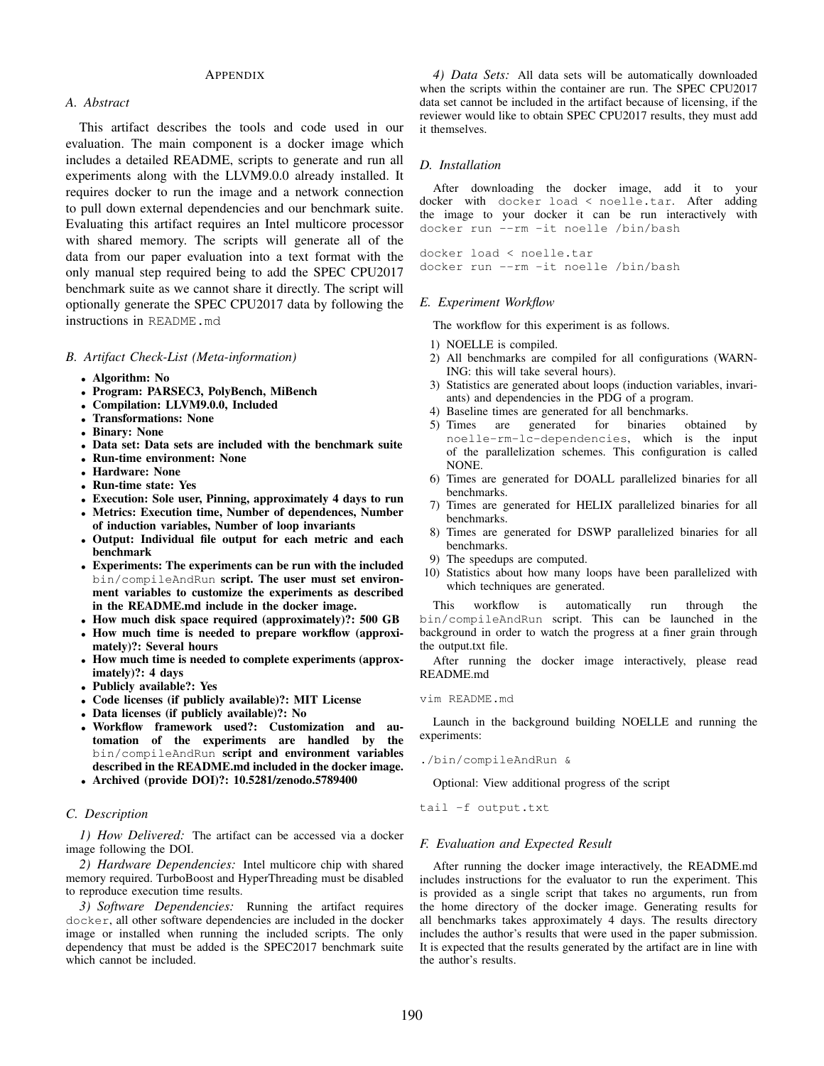# **APPENDIX**

# *A. Abstract*

This artifact describes the tools and code used in our evaluation. The main component is a docker image which includes a detailed README, scripts to generate and run all experiments along with the LLVM9.0.0 already installed. It requires docker to run the image and a network connection to pull down external dependencies and our benchmark suite. Evaluating this artifact requires an Intel multicore processor with shared memory. The scripts will generate all of the data from our paper evaluation into a text format with the only manual step required being to add the SPEC CPU2017 benchmark suite as we cannot share it directly. The script will optionally generate the SPEC CPU2017 data by following the instructions in README.md

*B. Artifact Check-List (Meta-information)*

- Algorithm: No
- Program: PARSEC3, PolyBench, MiBench
- Compilation: LLVM9.0.0, Included
- Transformations: None
- Binary: None
- Data set: Data sets are included with the benchmark suite
- Run-time environment: None
- Hardware: None
- Run-time state: Yes
- Execution: Sole user, Pinning, approximately 4 days to run
- Metrics: Execution time, Number of dependences, Number of induction variables, Number of loop invariants
- Output: Individual file output for each metric and each benchmark
- Experiments: The experiments can be run with the included bin/compileAndRun script. The user must set environment variables to customize the experiments as described in the README.md include in the docker image.
- How much disk space required (approximately)?: 500 GB
- How much time is needed to prepare workflow (approximately)?: Several hours
- How much time is needed to complete experiments (approximately)?: 4 days
- Publicly available?: Yes
- Code licenses (if publicly available)?: MIT License
- Data licenses (if publicly available)?: No
- Workflow framework used?: Customization and automation of the experiments are handled by the bin/compileAndRun script and environment variables described in the README.md included in the docker image.
- Archived (provide DOI)?: 10.5281/zenodo.5789400

# *C. Description*

*1) How Delivered:* The artifact can be accessed via a docker image following the DOI.

*2) Hardware Dependencies:* Intel multicore chip with shared memory required. TurboBoost and HyperThreading must be disabled to reproduce execution time results.

*3) Software Dependencies:* Running the artifact requires docker, all other software dependencies are included in the docker image or installed when running the included scripts. The only dependency that must be added is the SPEC2017 benchmark suite which cannot be included.

*4) Data Sets:* All data sets will be automatically downloaded when the scripts within the container are run. The SPEC CPU2017 data set cannot be included in the artifact because of licensing, if the reviewer would like to obtain SPEC CPU2017 results, they must add it themselves.

## *D. Installation*

After downloading the docker image, add it to your docker with docker load < noelle.tar. After adding the image to your docker it can be run interactively with docker run --rm -it noelle /bin/bash

docker load < noelle.tar docker run --rm -it noelle /bin/bash

## *E. Experiment Workflow*

The workflow for this experiment is as follows.

- 1) NOELLE is compiled.
- 2) All benchmarks are compiled for all configurations (WARN-ING: this will take several hours).
- 3) Statistics are generated about loops (induction variables, invariants) and dependencies in the PDG of a program.
- 4) Baseline times are generated for all benchmarks.
- 5) Times are generated for binaries obtained by noelle-rm-lc-dependencies, which is the input of the parallelization schemes. This configuration is called NONE.
- 6) Times are generated for DOALL parallelized binaries for all benchmarks.
- 7) Times are generated for HELIX parallelized binaries for all benchmarks.
- 8) Times are generated for DSWP parallelized binaries for all benchmarks.
- 9) The speedups are computed.
- 10) Statistics about how many loops have been parallelized with which techniques are generated.

This workflow is automatically run through the bin/compileAndRun script. This can be launched in the background in order to watch the progress at a finer grain through the output.txt file.

After running the docker image interactively, please read README.md

#### vim README.md

Launch in the background building NOELLE and running the experiments:

./bin/compileAndRun &

Optional: View additional progress of the script

tail -f output.txt

## *F. Evaluation and Expected Result*

After running the docker image interactively, the README.md includes instructions for the evaluator to run the experiment. This is provided as a single script that takes no arguments, run from the home directory of the docker image. Generating results for all benchmarks takes approximately 4 days. The results directory includes the author's results that were used in the paper submission. It is expected that the results generated by the artifact are in line with the author's results.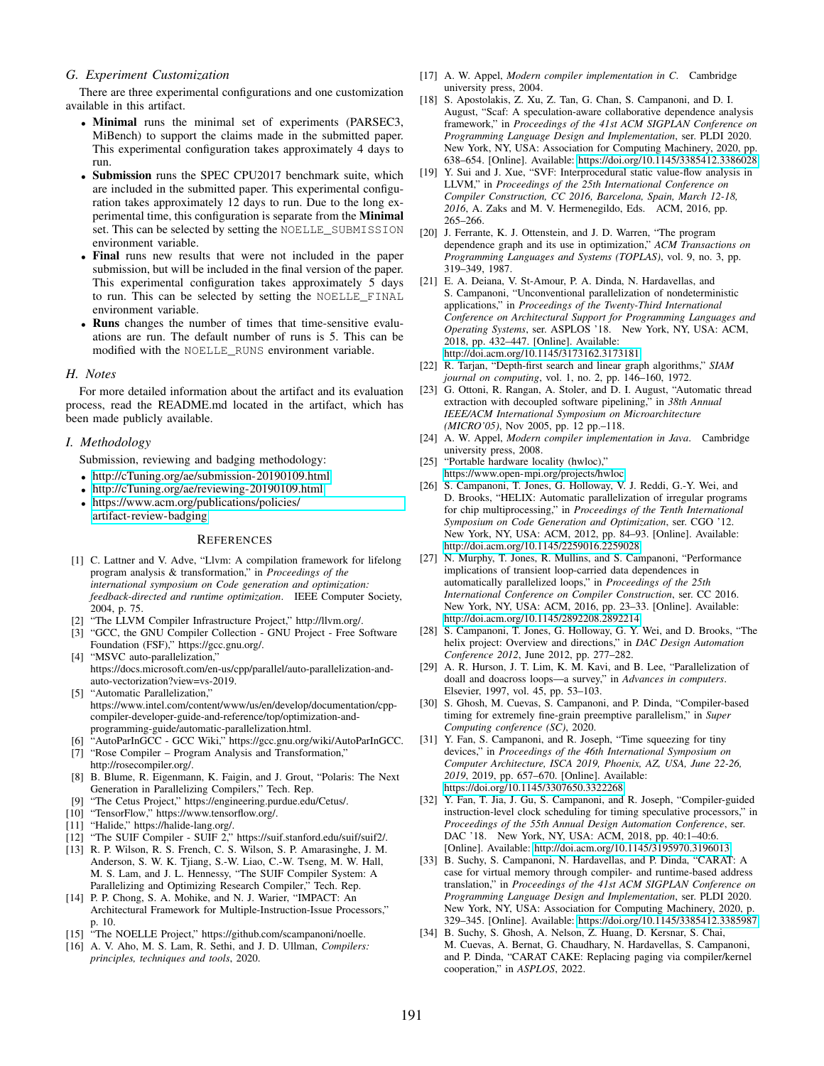## *G. Experiment Customization*

There are three experimental configurations and one customization available in this artifact.

- Minimal runs the minimal set of experiments (PARSEC3, MiBench) to support the claims made in the submitted paper. This experimental configuration takes approximately 4 days to run.
- Submission runs the SPEC CPU2017 benchmark suite, which are included in the submitted paper. This experimental configuration takes approximately 12 days to run. Due to the long experimental time, this configuration is separate from the Minimal set. This can be selected by setting the NOELLE\_SUBMISSION environment variable.
- Final runs new results that were not included in the paper submission, but will be included in the final version of the paper. This experimental configuration takes approximately 5 days to run. This can be selected by setting the NOELLE\_FINAL environment variable.
- Runs changes the number of times that time-sensitive evaluations are run. The default number of runs is 5. This can be modified with the NOELLE\_RUNS environment variable.

## *H. Notes*

For more detailed information about the artifact and its evaluation process, read the README.md located in the artifact, which has been made publicly available.

## *I. Methodology*

Submission, reviewing and badging methodology:

- <http://cTuning.org/ae/submission-20190109.html>
- <http://cTuning.org/ae/reviewing-20190109.html>
- [https://www.acm.org/publications/policies/](https://www.acm.org/publications/policies/artifact-review-badging) [artifact-review-badging](https://www.acm.org/publications/policies/artifact-review-badging)

#### **REFERENCES**

- <span id="page-12-0"></span>[1] C. Lattner and V. Adve, "Llvm: A compilation framework for lifelong program analysis & transformation," in *Proceedings of the international symposium on Code generation and optimization: feedback-directed and runtime optimization*. IEEE Computer Society, 2004, p. 75.
- <span id="page-12-1"></span>[2] "The LLVM Compiler Infrastructure Project," http://llvm.org/.
- <span id="page-12-2"></span>[3] "GCC, the GNU Compiler Collection - GNU Project - Free Software Foundation (FSF)," https://gcc.gnu.org/.
- <span id="page-12-3"></span>[4] "MSVC auto-parallelization," https://docs.microsoft.com/en-us/cpp/parallel/auto-parallelization-andauto-vectorization?view=vs-2019.
- [5] "Automatic Parallelization," https://www.intel.com/content/www/us/en/develop/documentation/cppcompiler-developer-guide-and-reference/top/optimization-andprogramming-guide/automatic-parallelization.html.
- <span id="page-12-4"></span>[6] "AutoParInGCC - GCC Wiki," https://gcc.gnu.org/wiki/AutoParInGCC.
- <span id="page-12-5"></span>[7] "Rose Compiler – Program Analysis and Transformation," http://rosecompiler.org/.
- <span id="page-12-31"></span>[8] B. Blume, R. Eigenmann, K. Faigin, and J. Grout, "Polaris: The Next Generation in Parallelizing Compilers," Tech. Rep.
- <span id="page-12-6"></span>[9] "The Cetus Project," https://engineering.purdue.edu/Cetus/.
- <span id="page-12-7"></span>[10] "TensorFlow," https://www.tensorflow.org/.
- <span id="page-12-8"></span>[11] "Halide," https://halide-lang.org/.
- <span id="page-12-9"></span>[12] "The SUIF Compiler - SUIF 2," https://suif.stanford.edu/suif/suif2/.
- <span id="page-12-10"></span>[13] R. P. Wilson, R. S. French, C. S. Wilson, S. P. Amarasinghe, J. M. Anderson, S. W. K. Tjiang, S.-W. Liao, C.-W. Tseng, M. W. Hall, M. S. Lam, and J. L. Hennessy, "The SUIF Compiler System: A Parallelizing and Optimizing Research Compiler," Tech. Rep.
- <span id="page-12-11"></span>[14] P. P. Chong, S. A. Mohike, and N. J. Warier, "IMPACT: An Architectural Framework for Multiple-Instruction-Issue Processors," p. 10.
- <span id="page-12-12"></span>[15] "The NOELLE Project," https://github.com/scampanoni/noelle.
- <span id="page-12-15"></span>[16] A. V. Aho, M. S. Lam, R. Sethi, and J. D. Ullman, *Compilers: principles, techniques and tools*, 2020.
- <span id="page-12-16"></span>[17] A. W. Appel, *Modern compiler implementation in C*. Cambridge university press, 2004.
- <span id="page-12-13"></span>[18] S. Apostolakis, Z. Xu, Z. Tan, G. Chan, S. Campanoni, and D. I. August, "Scaf: A speculation-aware collaborative dependence analysis framework," in *Proceedings of the 41st ACM SIGPLAN Conference on Programming Language Design and Implementation*, ser. PLDI 2020. New York, NY, USA: Association for Computing Machinery, 2020, pp. 638–654. [Online]. Available:<https://doi.org/10.1145/3385412.3386028>
- <span id="page-12-14"></span>[19] Y. Sui and J. Xue, "SVF: Interprocedural static value-flow analysis in LLVM," in *Proceedings of the 25th International Conference on Compiler Construction, CC 2016, Barcelona, Spain, March 12-18, 2016*, A. Zaks and M. V. Hermenegildo, Eds. ACM, 2016, pp. 265–266.
- <span id="page-12-17"></span>[20] J. Ferrante, K. J. Ottenstein, and J. D. Warren, "The program dependence graph and its use in optimization," *ACM Transactions on Programming Languages and Systems (TOPLAS)*, vol. 9, no. 3, pp. 319–349, 1987.
- <span id="page-12-18"></span>[21] E. A. Deiana, V. St-Amour, P. A. Dinda, N. Hardavellas, and S. Campanoni, "Unconventional parallelization of nondeterministic applications," in *Proceedings of the Twenty-Third International Conference on Architectural Support for Programming Languages and Operating Systems*, ser. ASPLOS '18. New York, NY, USA: ACM, 2018, pp. 432–447. [Online]. Available: <http://doi.acm.org/10.1145/3173162.3173181>
- <span id="page-12-19"></span>[22] R. Tarjan, "Depth-first search and linear graph algorithms," *SIAM journal on computing*, vol. 1, no. 2, pp. 146–160, 1972.
- <span id="page-12-20"></span>[23] G. Ottoni, R. Rangan, A. Stoler, and D. I. August, "Automatic thread extraction with decoupled software pipelining," in *38th Annual IEEE/ACM International Symposium on Microarchitecture (MICRO'05)*, Nov 2005, pp. 12 pp.–118.
- <span id="page-12-21"></span>[24] A. W. Appel, *Modern compiler implementation in Java*. Cambridge university press, 2008.
- <span id="page-12-22"></span>[25] "Portable hardware locality (hwloc)," [https://www.open-mpi.org/projects/hwloc.](https://www.open-mpi.org/projects/hwloc)
- <span id="page-12-23"></span>[26] S. Campanoni, T. Jones, G. Holloway, V. J. Reddi, G.-Y. Wei, and D. Brooks, "HELIX: Automatic parallelization of irregular programs for chip multiprocessing," in *Proceedings of the Tenth International Symposium on Code Generation and Optimization*, ser. CGO '12. New York, NY, USA: ACM, 2012, pp. 84–93. [Online]. Available: <http://doi.acm.org/10.1145/2259016.2259028>
- [27] N. Murphy, T. Jones, R. Mullins, and S. Campanoni, "Performance" implications of transient loop-carried data dependences in automatically parallelized loops," in *Proceedings of the 25th International Conference on Compiler Construction*, ser. CC 2016. New York, NY, USA: ACM, 2016, pp. 23–33. [Online]. Available: <http://doi.acm.org/10.1145/2892208.2892214>
- <span id="page-12-24"></span>[28] S. Campanoni, T. Jones, G. Holloway, G. Y. Wei, and D. Brooks, "The helix project: Overview and directions," in *DAC Design Automation Conference 2012*, June 2012, pp. 277–282.
- <span id="page-12-25"></span>[29] A. R. Hurson, J. T. Lim, K. M. Kavi, and B. Lee, "Parallelization of doall and doacross loops—a survey," in *Advances in computers*. Elsevier, 1997, vol. 45, pp. 53–103.
- <span id="page-12-26"></span>[30] S. Ghosh, M. Cuevas, S. Campanoni, and P. Dinda, "Compiler-based timing for extremely fine-grain preemptive parallelism," in *Super Computing conference (SC)*, 2020.
- <span id="page-12-27"></span>[31] Y. Fan, S. Campanoni, and R. Joseph, "Time squeezing for tiny devices," in *Proceedings of the 46th International Symposium on Computer Architecture, ISCA 2019, Phoenix, AZ, USA, June 22-26, 2019*, 2019, pp. 657–670. [Online]. Available: <https://doi.org/10.1145/3307650.3322268>
- <span id="page-12-28"></span>[32] Y. Fan, T. Jia, J. Gu, S. Campanoni, and R. Joseph, "Compiler-guided instruction-level clock scheduling for timing speculative processors," in *Proceedings of the 55th Annual Design Automation Conference*, ser. DAC '18. New York, NY, USA: ACM, 2018, pp. 40:1–40:6. [Online]. Available:<http://doi.acm.org/10.1145/3195970.3196013>
- <span id="page-12-29"></span>[33] B. Suchy, S. Campanoni, N. Hardavellas, and P. Dinda, "CARAT: A case for virtual memory through compiler- and runtime-based address translation," in *Proceedings of the 41st ACM SIGPLAN Conference on Programming Language Design and Implementation*, ser. PLDI 2020. New York, NY, USA: Association for Computing Machinery, 2020, p. 329–345. [Online]. Available:<https://doi.org/10.1145/3385412.3385987>
- <span id="page-12-30"></span>[34] B. Suchy, S. Ghosh, A. Nelson, Z. Huang, D. Kersnar, S. Chai, M. Cuevas, A. Bernat, G. Chaudhary, N. Hardavellas, S. Campanoni, and P. Dinda, "CARAT CAKE: Replacing paging via compiler/kernel cooperation," in *ASPLOS*, 2022.